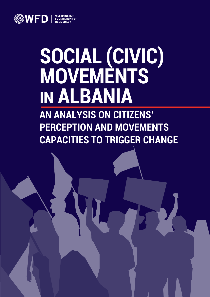

# **SOCIAL (CIVIC) MOVEMENTS IN ALBANIA**<br>AN ANALYSIS ON CITIZENS'

**PERCEPTION AND MOVEMENTS CAPACITIES TO TRIGGER CHANGE**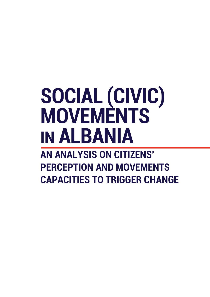## **SOCIAL (CIVIC) MOVEMENTS IN ALBANIA**

**AN ANALYSIS ON CITIZENS' PERCEPTION AND MOVEMENTS CAPACITIES TO TRIGGER CHANGE**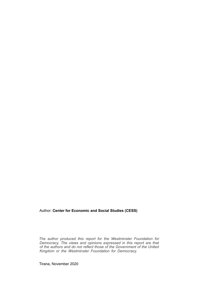### Author: **Center for Economic and Social Studies (CESS)**

*The author produced this report for the Westminster Foundation for Democracy. The views and opinions expressed in this report are that of the authors and do not reflect those of the Government of the United Kingdom or the Westminster Foundation for Democracy.*

Tirana, November 2020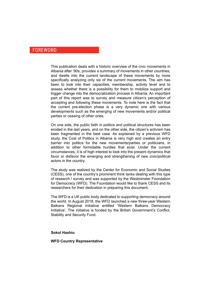#### FOREWORD

This publication deals with a historic overview of the civic movements in Albania after '90s, provides a summary of movements in other countries, and dwells into the current landscape of these movements by more specifically analyzing only six of the current movements. The aim has been to look into their capacities, membership, activity level and to assess whether there is a possibility for them to mobilize support and trigger change into the democratization process in Albania. An important part of this report was to survey and measure citizen's perception of accepting and following these movements. To note here is the fact that the current pre-election phase is a very dynamic one with various developments such as the emerging of new movements and/or political parties or ceasing of other ones.

On one side, the public faith in politics and political structures has been eroded in the last years, and on the other side, the citizen's activism has been fragmented in the best case. As explained by a previous WFD study, the Cost of Politics in Albania is very high and creates an entry barrier into politics for the new movements/parties or politicians, in addition to other formidable hurdles that exist. Under the current circumstances, it is of high interest to look into the present dynamics that favor or disfavor the emerging and strengthening of new civic/political actors in the country.

The study was realized by the Center for Economic and Social Studies (CESS), one of the country's prominent think tanks dealing with this type of research / survey and was supported by the Westminster Foundation for Democracy (WFD). The Foundation would like to thank CESS and its researchers for their dedication in preparing this document.

The WFD is a UK public body dedicated to supporting democracy around the world. In August 2018, the WFD launched a new three-year Western Balkans Regional Initiative entitled 'Western Balkans Democracy Initiative'. The initiative is funded by the British Government's Conflict, Stability and Security Fund.

#### **Sokol Haxhiu**

#### **WFD Country Representative**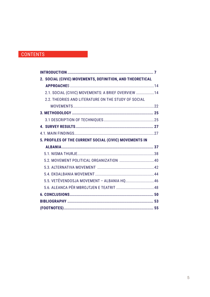## **CONTENTS**

| 2. SOCIAL (CIVIC) MOVEMENTS, DEFINITION, AND THEORETICAL |  |
|----------------------------------------------------------|--|
|                                                          |  |
| 2.1. SOCIAL (CIVIC) MOVEMENTS: A BRIEF OVERVIEW  14      |  |
| 2.2. THEORIES AND LITERATURE ON THE STUDY OF SOCIAL      |  |
|                                                          |  |
|                                                          |  |
|                                                          |  |
|                                                          |  |
|                                                          |  |
| 5. PROFILES OF THE CURRENT SOCIAL (CIVIC) MOVEMENTS IN   |  |
|                                                          |  |
|                                                          |  |
|                                                          |  |
|                                                          |  |
|                                                          |  |
| 5.5. VETËVENDOSJA MOVEMENT - ALBANIA HQ  46              |  |
|                                                          |  |
|                                                          |  |
|                                                          |  |
|                                                          |  |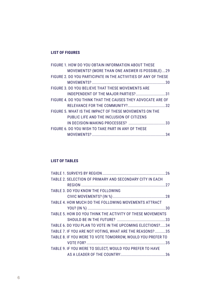## **LIST OF FIGURES**

| FIGURE 1. HOW DO YOU OBTAIN INFORMATION ABOUT THESE            |
|----------------------------------------------------------------|
| <b>MOVEMENTS? (MORE THAN ONE ANSWER IS POSSIBLE)29</b>         |
| FIGURE 2. DO YOU PARTICIPATE IN THE ACTIVITIES OF ANY OF THESE |
|                                                                |
| FIGURE 3. DO YOU BELIEVE THAT THESE MOVEMENTS ARE              |
| INDEPENDENT OF THE MAJOR PARTIES?31                            |
| FIGURE 4. DO YOU THINK THAT THE CAUSES THEY ADVOCATE ARE OF    |
|                                                                |
| FIGURE 5. WHAT IS THE IMPACT OF THESE MOVEMENTS ON THE         |
| PUBLIC LIFE AND THE INCLUSION OF CITIZENS                      |
|                                                                |
| FIGURE 6. DO YOU WISH TO TAKE PART IN ANY OF THESE             |
|                                                                |
|                                                                |

## **List of TABLES**

| TABLE 2. SELECTION OF PRIMARY AND SECONDARY CITY IN EACH   |  |
|------------------------------------------------------------|--|
|                                                            |  |
| TABLE 3. DO YOU KNOW THE FOLLOWING                         |  |
|                                                            |  |
| TABLE 4. HOW MUCH DO THE FOLLOWING MOVEMENTS ATTRACT       |  |
|                                                            |  |
| TABLE 5. HOW DO YOU THINK THE ACTIVITY OF THESE MOVEMENTS  |  |
|                                                            |  |
| TABLE 6. DO YOU PLAN TO VOTE IN THE UPCOMING ELECTIONS?34  |  |
| TABLE 7. IF YOU ARE NOT VOTING, WHAT ARE THE REASONS?35    |  |
| TABLE 8. IF YOU WERE TO VOTE TOMORROW. WOULD YOU PREFER TO |  |
|                                                            |  |
| TABLE 9. IF YOU WERE TO SELECT. WOULD YOU PREFER TO HAVE   |  |
|                                                            |  |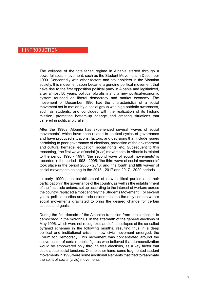## 1 Introduction

The collapse of the totalitarian regime in Albania started through a powerful social movement, such as the Student Movement in December 1990. Concertedly with other factors and stakeholders in the Albanian society, this movement soon became a genuine political movement that gave rise to the first opposition political party in Albania and legitimized, after almost 50 years, political pluralism and a new political-economic system founded on liberal democracy and market economy. The movement of December 1990 had the characteristics of a social movement set in motion by a social group with high patriotic awareness. such as students, and concluded with the realization of its historic mission, prompting bottom-up change and creating situations that ushered in political pluralism.

After the 1990s, Albania has experienced several 'waves of social movements', which have been related to political cycles of governance and have produced situations, factors, and decisions that include issues pertaining to poor governance of elections, protection of the environment and cultural heritage, education, social rights, etc. Subsequent to this reasoning, 'the first wave of social (civic) movements' in Albania is related to the period 1990 - 1997; 'the second wave of social movements' is recorded in the period 1998 - 2005; 'the third wave of social movements' took place in the period 2005 - 2013; and 'the fourth and fifth waves' of social movements belong to the 2013 - 2017 and 2017 - 2020 periods.

In early 1990s, the establishment of new political parties and their participation in the governance of the country, as well as the establishment of the first trade unions, set up according to the interest of workers across the country, replaced almost entirely the Students Movement. For several years, political parties and trade unions became the only centers where social movements gravitated to bring the desired change for certain causes and goals.

During the first decade of the Albanian transition from totalitarianism to democracy, in the mid-1990s, in the aftermath of the general elections of May 1996, which were not recognized and of the collapse of the so-called pyramid schemes in the following months, resulting thus in a deep political and institutional crisis, a new civic movement emerged: the Forum for Democracy. This movement was concentrated around the active action of certain public figures who believed that democratization would be empowered only through free elections, as a key factor that could abate social tensions. On the other hand, some fragmented student movements in 1998 were some additional elements that tried to reanimate the spirit of social (civic) movements.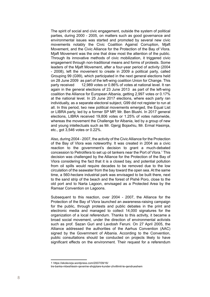The spirit of social and civic engagement, outside the system of political parties, during 2000 - 2005, on matters such as good governance and environmental issues was started and promoted by several new civic movements notably the Civic Coalition Against Corruption, Mjaft Movement, and the Civic Alliance for the Protection of the Bay of Vlora. Mjaft Movement was the one that draw most the attention of the public. Through its innovative methods of civic mobilization, it triggered civic engagement through non-traditional means and forms of protests. Some leaders of the Mjaft Movement, after a four-year period of activity (2004 - 2008), left the movement to create in 2009 a political party, called Grouping 99 (G99), which participated in the next general elections held on 28 June 2009 as part of the left-wing coalition Union for Change. This party received 12,989 votes or 0.86% of votes at national level. It ran again in the general elections of 23 June 2013 as part of the left-wing coalition the Alliance for European Albania, getting 2,997 votes or 0.17% at the national level. In 25 June 2017 elections, where each party ran individually, as a separate electoral subject, G99 did not register to run at all. In this period, two new political movements emerged, the Equal List or LIBRA party, led by a former SP MP, Mr. Ben Blushi. In 2017 general elections, LIBRA received 19,806 votes or 1.25% of votes nationwide, whereas the movement the Challenge for Albania, led by a group of new and young intellectuals such as Mr. Gjergj Bojaxhiu, Mr. Ermal Hasimja, etc., got 3,546 votes or 0.22%.

Also, during 2004 - 2007, the activity of the Civic Alliance for the Protection of the Bay of Vlora was noteworthy. It was created in 2004 as a civic reaction to the government's decision to grant a much-debated concession to Petrolifera to set up oil tankers near the Port of Vlora.<sup>1</sup> This decision was challenged by the Alliance for the Protection of the Bay of Vlora considering the fact that it is a closed bay, and potential pollution from oil spills would require decades to be removed due to the low circulation of the seawater from the bay toward the open sea. At the same time, a 560-hectare industrial park was envisaged to be built there, next to the sand strip of the beach and the forest of Pishë Poro, close to the old port and to Narta Lagoon, envisaged as a Protected Area by the Ramsar Convention on Lagoons.

Subsequent to this reaction, over 2004 - 2007, the Alliance for the Protection of the Bay of Vlora launched an awareness-raising campaign for the public, through protests and public debates in the print and electronic media and managed to collect 14,000 signatures for the organization of a local referendum. Thanks to this activity, it became a broad social movement, under the direction of environmental activists such as prof. Sazan Guri and Lavdosh Feruni. On 27 April 2005, the Alliance addressed the authorities of the Aarhus Convention (AAC) signed by the Government of Albania. According to the Convention, public consultations should be conducted on projects likely to have significant effects on the environment. Their request for a referendum

<sup>1</sup>  [https://ekolevizja.wordpress.com/2007/09/16/](https://ekolevizja.wordpress.com/2007/09/16/tre-banka-mbeshtesin-qeverine-shqiptare-kunder-zhvillimit-te-qendrueshem)

[tre-banka-mbeshtesin-qeverine-shqiptare-kunder-zhvillimit-te-qendrueshem](https://ekolevizja.wordpress.com/2007/09/16/tre-banka-mbeshtesin-qeverine-shqiptare-kunder-zhvillimit-te-qendrueshem)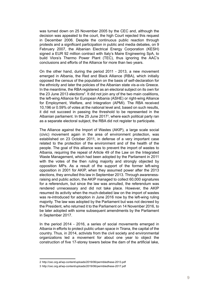was turned down on 25 November 2005 by the CEC and, although the decision was appealed to the court, the high Court rejected this request in December 2006. Despite the continuous public reaction through protests and a significant participation in public and media debates, on 9 February 2007, the Albanian Electrical Energy Corporation (KESH) signed a EUR 92 million contract with Italy's Maire Engineering SpA, to build Vlora's Thermo Power Plant (TEC), thus ignoring the AAC's conclusions and efforts of the Alliance for more than two years.

On the other hand, during the period 2011 - 2013, a new movement emerged in Albania, the Red and Black Alliance (RBA), which initially opposed the census of the population on the basis of self-declaration for the ethnicity and later the policies of the Albanian state vis-a-vis Greece. In the meantime, the RBA registered as an electoral subject on its own for the 23 June 2013 elections<sup>2</sup>. It did not join any of the two main coalitions, the left-wing Alliance for European Albania (ASHE) or right-wing Alliance for Employment, Welfare, and Integration (APMI). The RBA received 10,196 or 0.59% of votes at the national level and, based on such results, it did not succeed in passing the threshold to be represented in the Albanian parliament. In the 25 June 2017 $^{\rm 3}$ , where each political party ran as a separate electoral subject, the RBA did not register to participate.

The Alliance against the Import of Wastes (AKIP), a large scale social (civic) movement again in the area of environment protection, was established on 23 October 2011, in defense of a very important case related to the protection of the environment and of the health of the people. The goal of this alliance was to prevent the import of wastes to Albania, requiring the repeal of Article 49 of the Law on the Integrated Waste Management, which had been adopted by the Parliament in 2011 with the votes of the then ruling majority and strongly objected by opposition MPs. As a result of the support of the former left-wing opposition in 2001 for AKIP, when they assumed power after the 2013 elections, they annulled this law in September 2013. Through awarenessraising and public action, the AKIP managed to collect 60,000 signatures for a referendum, but since the law was annulled, the referendum was rendered unnecessary and did not take place. However, the AKIP resumed its activity when the much-debated law on the import of wastes was re-introduced for adoption in June 2016 now by the left-wing ruling majority. The law was adopted by the Parliament but was not decreed by the President, who returned it to the Parliament on 14 November 2016, to be later adopted with some subsequent amendments by the Parliament in September 2017.

In the period 2014 - 2016, a series of social movements emerged in Albania in efforts to protect public urban space in Tirana, the capital of the country. Thus, in 2014, activists from the civil society and environmental organizations led a movement for about one year to object the construction of five 17-storey towers below the dam of the artificial lake,

<sup>2</sup> <http://cec.org.al/wp-content/uploads/2019/06/permbledhese-2013.pdf>

<sup>3</sup> <http://cec.org.al/wp-content/uploads/2019/06/permbledhese-2017.pdf>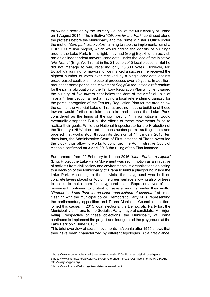following a decision by the Territory Council at the Municipality of Tirana on 1 August 2014.4 The initiative *"Citizens for the Park"* continued alone the protests before the Municipality and the Prime Minister's Office under the motto: *"Zero park, zero votes",* aiming to stop the implementation of a EUR 100 million project, which would add to the density of buildings around the Lake Park. In this light, they had Gjergj Bojaxhiu, an activist, ran as an independent mayoral candidate, under the logo of the initiative *"Ne Tirana"* (Eng: We Tirana) in the 21 June 2015 local elections. But he did not manage to win, receiving only 16,303 votes. However, Mr. Bojaxhiu's running for mayoral office marked a success; he received the highest number of votes ever received by a single candidate against broad-based coalitions in electoral processes over 25 years. In addition, around the same period, the Movement *ShqipOn* requested a referendum for the partial abrogation of the Territory Regulation Plan which envisaged the building of five towers right below the dam of the Artificial Lake of Tirana.5 Their petition aimed at having a local referendum organized for the partial abrogation of the Territory Regulation Plan for the area below the dam of the Artificial Lake of Tirana, arguing that the building of these towers would further reclaim the lake and hence the Lake Park, considered as the lungs of the city hosting 1 million citizens, would eventually disappear. But all the efforts of these movements failed to realize their goals. While the National Inspectorate for the Protection of the Territory (INUK) declared the construction permit as illegitimate and ordered that works stop, through its decision of 14 January 2015, ten days later, the Administrative Court of First Instance of Tirana overruled the block, thus allowing works to continue. The Administrative Court of Appeals confirmed on 3 April 2018 the ruling of the First Instance.

Furthermore, from 20 February to 1 June 2016 *"Mbro Parkun e Liqenit"*  (Eng: Protect the Lake Park) Movement was set in motion as an initiative of activists from civil society and environmentalist organizations objecting to a decision of the Municipality of Tirana to build a playground inside the Lake Park. According to the activists, the playground was built on concrete layers placed on top of the green surface allowing also for trees to be cut to make room for playground items. Representatives of this movement continued to protest for several months, under their motto: *"Protect the Lake Park, let us plant trees instead of concrete!"* at times clashing with the municipal police. Democratic Party MPs, representing the parliamentary opposition and Tirana Municipal Council opposition, joined this cause. In 2015 local elections, the Democratic Party lost the Municipality of Tirana to the Socialist Party mayoral candidate, Mr. Erjon Veliaj. Irrespective of these objections, the Municipality of Tirana continued to implement the project and inaugurated the playground at the Lake Park on 1 June 2016.<sup>6</sup>

This brief overview of social movements in Albania after 1990 shows that they have been characterized by different typologies. At a first glance,

<sup>4</sup> <https://www.reporter.al/beteja-ligjore-per-kompleksin-100-milione-euro-tek-diga-e-liqenit/>

<sup>5</sup>  [https://www.change.org/p/qytetar%C3%ABt-referendum-p%C3%ABr-liqenin-e-tiran%C3%ABs;](https://www.change.org/p/qytetar%C3%ABt-referendum-p%C3%ABr-liqenin-e-tiran%C3%ABs) http://leviziashqipon.org/

<sup>6</sup> <https://www.tirana.al/artikull/gati-kendi-i-lojrave-tek-liqeni>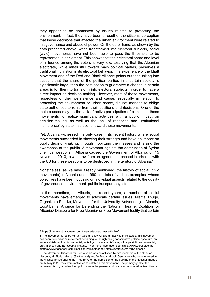they appear to be dominated by issues related to protecting the environment. In fact, they have been a result of the citizens' perception that these decisions that affected the urban environment were related to misgovernance and abuse of power. On the other hand, as shown by the data presented above, when transformed into electoral subjects, social (civic) movements have not been able to pass the threshold to be represented in parliament. This shows that their electoral share and level of influence among the voters is very low, testifying that the Albanian electorate, while mistrustful toward main political parties, preserves a traditional inclination in its electoral behavior. The experience of the Mjaft Movement and of the Red and Black Alliance points out that, taking into account that the share of the political parties in a certain society is significantly large, then the best option to guarantee a change in certain areas is for them to transform into electoral subjects in order to have a direct impact on decision-making. However, most of these movements, regardless of their persistence and cause, especially in relation to protecting the environment or urban space, did not manage to oblige state authorities to retire from their positions and decisions. One of the main causes may be the lack of active participation of citizens in these movements to realize significant activities with a public impact on decision-making, as well as the lack of response and 'institutional indifference' by state institutions toward these movements.

Yet, Albania witnessed the only case in its recent history where social movements succeeded in showing their strength and have an impact on public decision-making, through mobilizing the masses and raising the awareness of the public. A movement against the destruction of Syrian chemical weapons in Albania caused the Government of Albania, on 15 November 2013, to withdraw from an agreement reached in principle with the US for these weapons to be destroyed in the territory of Albania.<sup>7</sup>

Nonetheless, as we have already mentioned, the history of social (civic movements) in Albania after 1990 consists of various examples, whose objectives have been focusing on individual aspects related to the quality of governance, environment, public transparency, etc.

In the meantime, in Albania, in recent years, a number of social movements have emerged to advocate certain issues. Nisma Thurje, Organizata Politike, Movement for the University, Vetvendosja - Albania, EcoAlbania, Alliance for Defending the National Theatre, Coalition for Albania,<sup>8</sup> Diaspora for Free Albania<sup>9</sup> or Free Movement testify that certain

<sup>7</sup> <https://kryeministria.al/newsroom/ja-e-verteta-e-armeve-kimike/>

<sup>8</sup>  The movement is led by Mr Altin Goxhaj, a lawyer and an activist. In its status, this movement has been defined as "a movement pertaining to the right-wing conservative political spectrum, an anti-establishment, anti-communist, anti-oligarchy, and anti-Soros, with a patriotic and sovranist, pro-American and Eurosceptical stance." For more information see [https://www.pershqiperine.](https://www.pershqiperine.al) [al](https://www.pershqiperine.al)[https://www.facebook.com/KoalicioniPerShqiperine/;](https://www.facebook.com/KoalicioniPerShqiperine/)<https://twitter.com/PerShqiperine>

<sup>9</sup>  The Movement Diaspora for Free Albania was established by two members of the Albanian diaspora, Mr Florian Haçkaj (Switzerland) and Mr Bledar Milaqi (Germany), who were involved in the Alliance for Defending the Theatre. After the demolition of the building of the National Theatre on 17 May 2020, they were motivated to establish this movement. The primary goal for the movement is to guarantee the right to vote in the general and local elections for Albanian citizens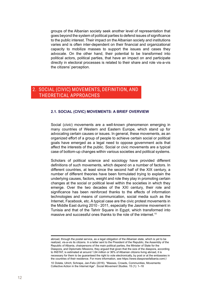<span id="page-11-0"></span>groups of the Albanian society seek another level of representation that goes beyond the system of political parties to defend issues of significance to the public interest. Their impact on the Albanian society and institutions varies and is often inter-dependent on their financial and organizational capacity to mobilize masses to support the issues and cases they advocate. On the other hand, their potential to be transformed into political actors, political parties, that have an impact on and participate directly in electoral processes is related to their share and role vis-a-vis the citizens' perception.

## 2. Social (civic) movements, definition, and theoretical approaches

#### **2.1. Social (civic) movements: a brief overview**

Social (*civic*) movements are a well-known phenomenon emerging in many countries of Western and Eastern Europe, which stand up for advocating certain causes or issues. In general, these movements, as an organized effort of a group of people to achieve certain social or political goals have emerged as a legal need to oppose government acts that affect the interests of the public. Social or civic movements are a typical case of bottom-up changes within various societies and political systems.

Scholars of political science and sociology have provided different definitions of such movements, which depend on a number of factors. In different countries, at least since the second half of the XIX century, a number of different theories have been formulated trying to explain the underlying causes, factors, weight and role they play in promoting certain changes at the social or political level within the societies in which they emerge. Over the two decades of the XXI century, their role and significance has been reinforced thanks to the effects of information technologies and means of communication, social media such as the Internet, Facebook, etc. A typical case are the civic protest movements in the Middle East during 2010 - 2011, especially the Jasmine movement in Tunisia and that of the Tahrir Square in Egypt, which transformed into massive and successful ones thanks to the role of the internet.<sup>10</sup>

10  Dolata, Ulrich; Schrape, Jan-Felix (2016). "Masses, Crowds, Communities, Movements: Collective Action in the Internet Age". *[Social Movement Studie](https://en.wikipedia.org/wiki/Social_Movement_Studies)*s. 15 (1): 1–18

abroad, through the postal service, as a legal obligation of the Albanian state, which is yet to be realized, vis-a-vis its citizens. In a letter sent to the President of the Republic, the Assembly of the Republic of Albania, chairpersons of the main political parties, the Minister of State for the Diaspora, and Diplomatic Missions, they argued that given that the size of the diaspora, according to INSTAT, is estimated at around 1,64 million or 36% of Albanian citizens living abroad, it is necessary for them to be guaranteed the right to vote electronically, by post or at the embassies in the countries of their residence. For more information, see <https://www.diasporaofalbania.com/>;[/](https://www.facebook.com/diasporaofalbania/)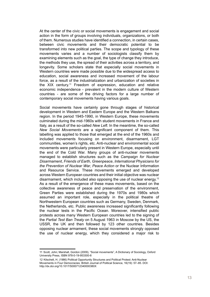At the center of the civic or social movements is engagement and social action in the form of groups involving individuals, organizations, or both of them. Numerous studies have identified a connection, in certain cases, between civic movements and their democratic potential to be transformed into new political parties. The scope and typology of these movements varies and a number of sociologists classify them by examining elements such as the goal, the type of change they introduce, the methods they use, the spread of their activities across a territory, and longevity. Some scholars state that especially social movements in Western countries were made possible due to the widespread access to education, social awareness and increased movement of the labour force, as a result of the industrialization and urbanization of societies in the XIX century.<sup>11</sup> Freedom of expression, education and relative economic independence - prevalent in the modern culture of Western countries - are some of the driving factors for a large number of contemporary social movements having various goals.

Social movements have certainly gone through stages of historical development in Western and Eastern Europe and the Western Balkans region. In the period 1945-1990, in Western Europe, these movements culminated during the mid-1960s with student movements in France and Italy, as a result of the so-called *New Left*. In the meantime, the so-called *New Social Movements* are a significant component of them. This labelling was applied to those that emerged at the end of the 1960s and included movements focusing on environment, disarmament, LGT communities, women's rights, etc. Anti-nuclear and environmental social movements were particularly present in Western Europe, especially until the end of the Cold War. Many groups of anti-nuclear movements managed to establish structures such as the *Campaign for Nuclear Disarmament*, *Friends of Earth*, *Greenpeace*, *International Physicians for the Prevention of Nuclear War*, *Peace Action* or the Nuclear Information and Resource Service. These movements emerged and developed across Western European countries and their initial objective was nuclear disarmament, which included also opposing the use of nuclear energy.12 As a result of the emergence of these mass movements, based on the collective awareness of peace and preservation of the environment, Green Parties were established during the 1970s and 1980s which assumed an important role, especially in the political theatre of Northwestern European countries such as Germany, Sweden, Denmark, the Netherlands, etc. Public awareness increased significantly following the nuclear tests in the Pacific Ocean. Moreover, intensified public protests across many Western European countries led to the signing of the *Partial Test Ban Treaty* on 5 August 1963 in Moscow by the US, the USSR, the UK and then followed by 123 other countries. Besides opposing nuclear armament, these social movements strongly opposed the use of nuclear energy, which they considered a major risk to

<sup>11</sup>  Scott, John; Marshall, Gordon (2009), ["Social movements",](https://www.oxfordreference.com/view/10.1093/acref/9780199533008.001.0001/acref-9780199533008-e-2148) A Dictionary of Sociology, Oxford University Press, [ISBN](https://en.wikipedia.org/wiki/ISBN_(identifier)) [978-0-19-953300-8](https://en.wikipedia.org/wiki/Special:BookSources/978-0-19-953300-8)

<sup>12</sup>  Kitschelt, H. (1986) Political Opportunity Structures and Political Protest: Anti-Nuclear Movements in Four Democracies. British Journal of Political Science, 16(19): 57–85. DOI: http://dx.doi.org/10.1017/S000712340000380X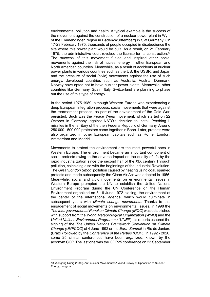environmental pollution and health. A typical example is the success of the movement against the construction of a nuclear power plant in Wyhl of the Emmendingen region in Baden-Württemberg in SW Germany. On 17-23 February 1975, thousands of people occupied in disobedience the site where this power plant would be built. As a result, on 21 February 1975, the administrative court revoked the license for its construction.<sup>13</sup> The success of this movement fueled and inspired other social movements against the risk of nuclear energy in other European and North American countries. Meanwhile, as a result of accidents at nuclear power plants in various countries such as the US, the USSR, and Japan and the pressure of social (civic) movements against the use of such energy, developed countries such as Australia, Austria, Denmark, Norway have opted not to have nuclear power plants. Meanwhile, other countries like Germany, Spain, Italy, Switzerland are planning to phase out the use of this type of energy.

In the period 1975-1989, although Western Europe was experiencing a deep European integration process, social movements that were against the rearmament process, as part of the development of the Cold War, persisted. Such was the *Peace Week* movement, which started on 22 October in Germany, against NATO's decision to install Pershing II missiles in the territory of the then Federal Republic of Germany. Around 250 000 - 500 000 protestors came together in Bonn. Later, protests were also organized in other European capitals such as Rome, London, Amsterdam and Madrid.

Movements to protect the environment are the most powerful ones in Western Europe. The environment became an important component of social protests owing to the adverse impact on the quality of life by the rapid industrialization since the second half of the XIX century Through pollution, coinciding also with the beginnings of the Industrial Revolution. The *Great London Smog*, pollution caused by heating using coal, sparked protests and made subsequently the Clean Air Act was adopted in 1956. Meanwhile, social and civic movements on environmental issues in Western Europe prompted the UN to establish the United Nations Environment Program during the UN Conference on the Human Environment organized on 5-16 June 1972 placing, the environment at the center of the international agenda, which would culminate in subsequent years with *climate change movements*. Thanks to this engagement of social movements on environmental issues, in 1998 the *The Intergovernmental Panel on Climate Change (IPCC*) was established with support from the *World Meteorological Organization (WMO*) and the *United Nations Environment Programme (UNEP*). Its reports ushered the signing of the *The United Nations Framework Convention on Climate Change (UNFCCC*) of 4 June 1992 or the *Earth Summit* in Rio de Janiero (Brazil) followed by the *Conference of the Parties (COP*). In 1992 - 2020, some 25 similar conferences have been organized, known by the acronym COP. The last one was the COP25 conference on 23 September

<sup>13</sup>  Wolfgang Rudig (1990). Anti-nuclear Movements: A World Survey of Opposition to Nuclear Energy, Longman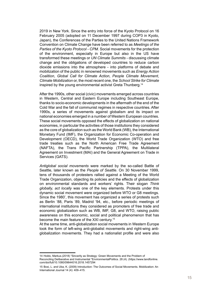2019 in New York. Since the entry into force of the Kyoto Protocol on 16 February 2005 (adopted on 11 December 1997 during COP3 in Kyoto, Japan), the Conferences of the Parties to the United Nations Framework Convention on Climate Change have been referred to as *Meetings of the Parties of the Kyoto Protocol - CPM.* Social movements for the protection of the environment, especially in Europe but also in the US have transformed these meetings or *UN Climate Summits* - discussing climate change and the obligations of developed countries to reduce carbon dioxide emissions into the atmosphere - into platforms of debate and mobilization of the public in renowned movements such as *Energy Action Coalition*, *Global Call for Climate Action*, *People Climate Movement*, *Climate Mobilization* or, the most recent one, the *School Strike for Climate*  inspired by the young environmental activist Greta Thunberg.14

After the 1990s, other social (civic) movements emerged across countries in Western, Central and Eastern Europe including Southeast Europe, thanks to socio-economic developments in the aftermath of the end of the Cold War and the fall of communist regimes in respective countries. After 1990s, a series of movements against globalism and its impact on national economies emerged in a number of Western European countries. These social movements opposed the effects of globalization on national economies, in particular the activities of those institutions they considered as the core of globalization such as the World Bank (WB), the International Monetary Fund (IMF), the Organization for Economic Co-operation and Development (OECD), the World Trade Organization (WTO) and free trade treaties such as the North American Free Trade Agreement (NAFTA), the Trans Pacific Partnership (TPPA), the Multilateral Agreement on Investment (MAI) and the General Agreement on Trade in Services (GATS).

*Antiglobal social movements* were marked by the so-called Battle of Seattle, later known as the *People of Seattle*. On 30 November 1999, tens of thousands of protesters rallied against a Meeting of the World Trade Organization, objecting its policies and the effects of globalization on environmental standards and workers' rights. Their slogan *Think globally, act locally* was one of the key elements. Protests under this dynamic social movement were organized before WTO or G8 meetings. Since the 1980', this movement has organized a series of protests such as Berlin '88, Paris '89, Madrid '94, etc., before periodic meetings of international institutions they considered as promoters of free trade and economic globalization such as WB, IMF, G8, and WTO, raising public awareness on this economic, social and political phenomenon that has become the main feature of the XXI century.15

At the same time, anti-globalization social movements in Western Europe took the form of left-wing anti-globalist movements and right-wing antiglobalization movements. They had a nationalist profile and were also

<sup>14</sup>  Holdo, Markus.(2018) ["Sincerity as Strategy: Green Movements and the Problem of](https://doi.org/10.1080%2F09644016.2018.1457294)  [Reconciling Deliberative and Instrumental "](https://doi.org/10.1080%2F09644016.2018.1457294)EnvironmentalPolitics. 28 (4). [\(https://www.tandfonline.](https://www.tandfonline.com/doi/full/10.1080/09644016.2018.1457294) [com/doi/full/10.1080/09644016.2018.1457294](https://www.tandfonline.com/doi/full/10.1080/09644016.2018.1457294)

<sup>15</sup>  Bosi, L. and Uba, K. (2009) Introduction: The Outcomes of Social Movements. Mobilization: An International Journal 14 (4): 409–415.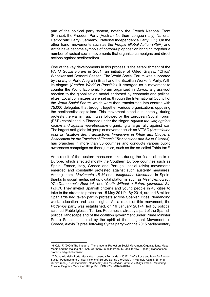part of the political party system, notably the French National Front (France), the Freedom Party (Austria), Northern League (Italy), National Democratic Party (Germany), National Independence Party (UK). On the other hand, movements such as the *People Global Action* (PGA) and Antifa have become symbols of bottom-up opposition bringing together a number of radical social movements that organize campaigns and direct actions against neoliberalism.

One of the key developments in this process is the establishment of the *World Social Forum* in 2001, an initiative of Oded Grajew, "Chico" Whitaker and Bernard Cassen. The World Social Forum was supported by the city of Porto Alegre in Brasil and the Brazilian Worker's Party. With its slogan: (*Another World is Possible*), it emerged as a movement to counter the World Economic Forum organized in Davos, a grass-root reaction to the globalization model endorsed by economic and political elites. Local committees were set up through the International Council of the *World Social Forum*, which were then transformed into centres with 75,000 delegates that brought together various organizations opposing the neoliberalist capitalism. This movement stood out, notably, during protests the war in Iraq. It was followed by the European Social Forum (ESF) established in Florence under the slogan *Against the war, against racism and against neo-liberalism* organizing a large rally against war. The largest anti-globalist group or movement such as ATTAC (*Association pour la Taxation des Transactions Financière et l'Aide aux Citoyens, Association for the Taxation of Financial Transactions and Aid to Citizens*), has branches in more than 30 countries and conducts various public awareness campaigns on fiscal justice, such as the so-called Tobin tax.16

As a result of the austere measures taken during the financial crisis in Europe, which affected mostly the Southern Europe countries such as Spain, France, Italy, Greece and Portugal, social (civic) movements emerged and constantly protested against such austerity measures. Among them, *Movimento 15 M* and *Indignados Movement* in Spain, thanks to social media, set up digital platforms such as *[Real](https://en.wikipedia.org/wiki/Democracia_Real_Ya) Democracy YA* (*Democracia Real YA*) and *Youth Without a Future (Juventud Sin Futur)*. They invited Spanish citizens and young people in 40 cities to take to the streets to protest on 15 May 2011<sup>17</sup>. By 2014, around 6 million Spaniards had taken part in protests across Spanish cities, demanding work, education and social rights. As a result of this movement, the *Podemos* party was established, on 16 January 20174, led by political scientist [Pablo Iglesias Turrión](https://en.wikipedia.org/wiki/Pablo_Iglesias_Turri%C3%B3n). Podemos is already a part of the Spanish political landscape and of the coalition government under Prime Minister Pedro Sances. Inspired by the spirit of the Indignant Movement, in Greece, Alexis Tsipras' left-wing Syriza party won the 2015 parliamentary

<sup>16</sup>  Kolb, F. (2004) The Impact of Transnational Protest on Social Movement Organizations: Mass Media and the making of ATTAC Germany. In della Porta, D. and Tarrow S. (eds.) Transnational protest and global activism

<sup>17</sup>  Donatella della Porta; Hara Kouki; Joseba Fernandez (2017). ["Left's Love and Hate for Europe:](https://books.google.com/books?id=Gok0DgAAQBAJ&pg=PA236)  [Syriza, Podemos and Critical Visions of Europe During the Crisis"](https://books.google.com/books?id=Gok0DgAAQBAJ&pg=PA236). In Manuela Caiani; Simona Guerra (eds.). *Euroscepticism, Democracy and the Media: Communicating Europe, Contesting Europe*. Palgrave Macmillan UK. p.236. [ISBN](https://en.wikipedia.org/wiki/ISBN_(identifier)) [978-1-137-59643-7](https://en.wikipedia.org/wiki/Special:BookSources/978-1-137-59643-7)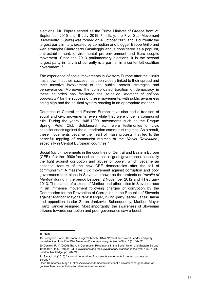elections. Mr. Tsipras served as the Prime Minister of Greece from 21 September 2015 until 8 July 2019.18 In Italy, the Five Star Movement (*Movimento 5 Stelle*) was formed on 4 October 2009 and is currently the largest party in Italy, created by comedian and blogger Beppe Grillo and web strategist Gianroberto Casaleggio and is considered as a populist, anti-establishment, environmental pro-environment and Euro sceptic movement. Since the 2013 parliamentary elections, it is the second largest party in Italy and currently is a partner in a center-left coalition government.19

The experience of social movements in Western Europe after the 1990s has shown that their success has been closely linked to their spread and their massive involvement of the public, protest strategies and perseverance. Moreover, the consolidated tradition of democracy in these countries has facilitated the so-called '*moment of political opportunity*' for the success of these movements, with public awareness being high and the political system reacting in an appropriate manner.

Countries of Central and Eastern Europe have also had a tradition of social and civic movements, even while they were under a communist rule. During the years 1945-1990, movements such as the Prague Spring, Petef Club, Solidanorst, etc., were testimonies of civic consciousness against the authoritarian communist regimes. As a result, these movements became the heart of mass protests that led to the peaceful toppling of communist regimes or the *'Velvet Revolution',* especially in Central European countries.<sup>20</sup>

Social (civic) movements in the countries of Central and Eastern Europe (CEE) after the 1990s focused on aspects of good governance, especially the fight against corruption and abuse of power, which became an essential feature of the new CEE democracies after the fall of communism.21 A massive civic movement against corruption and poor governance took place in Slovenia, known as the protests or *'revolts of Maribor*' during in the period between 2 November 2012 and 4 February 2013. Thousands of citizens of Maribor and other cities in Slovenia rose in an immense movement following charges of corruption by the Commission for the Prevention of Corruption in the Republic of Slovenia against Maribor Mayor Franz Kangler, ruling party leader Janez Jansa and opposition leader Zoran Jankovic. Subsequently, Maribor Mayor Franz Kangler resigned. Most importantly, the awareness of Slovenian citizens towards corruption and poor governance saw a boost.

<sup>18</sup>  Idem

<sup>19</sup>  Bordignon, Fabio; Ceccarini, Luigi (26 March 2014). "Protest and project, leader and party: normalisation of the Five Star Movement". *Contemporary Italian Politics*. **6** (1): 54- 72.

<sup>20</sup>  Daniels, R. V. (2000) The Anti-Communist Revolutions in the Soviet Union and Eastern Europe 1989-1991. In D. Parker (Ed.) Revolutions and the Revolutionary Tradition in the west 1560-1991. London: Routledge, pp. 202-24.

<sup>21</sup>  Sava, I. N. (2015) A second generation of grassroots movements in central and eastern Europe?

Open Democracy, May 11, https://www.opendemocracy.net/ionel-n-sava/second-generation-ofgrassroots-movements-in-central-and-eastern-europe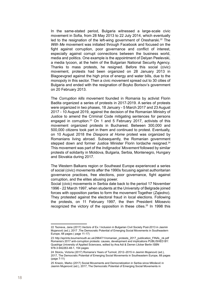In the same-stated period, Bulgaria witnessed a large-scale civic movement in Sofia, from 28 May 2013 to 22 July 2014, which eventually led to the resignation of the left-wing government of Oresharski.22 The *With Me* movement was initiated through Facebook and focused on the fight against corruption, poor governance and conflict of interest, especially against corrupt connections between the business world, media and politics. One example is the appointment of Delyan Peelevski, a media tycoon, at the helm of the Bulgarian National Security Agency. Thanks to mass protests, he resigned. Before this social (civic) movement, protests had been organized on 28 January 2013 in Blagoevgrad against the high price of energy and water bills, due to the monopoly in this sector. Then a civic movement spread out to 30 cities of Bulgaria and ended with the resignation of Boyko Borisov's government on 20 February 2013.

The *Corruption kills* movement founded in Romania by activist Florin Badita organized a series of protests in 2017-2019. A series of protests were organized in two phases, 18 January - 5 March 2017 and 23 August 2017 - 10 August 2019, against the decision of the Romanian Ministry of Justice to amend the Criminal Code mitigating sentences for persons engaged in corruption.<sup>23</sup> On 1 and 5 February 2017, activists of this movement organized protests in Bucharest. Between 300,000 and 500,000 citizens took part in them and continued to protest. Eventually, on 10 August 2018 the *Diaspora at Home* protest was organized by Romanians living abroad. Subsequently, the Romanian government stepped down and former Justice Minister Florin Iordache resigned.<sup>24</sup> This movement was part of the *Indignados' Movement* followed by similar protests of solidarity in Moldova, Bulgaria, Serbia, Montenegro, Hungary and Slovakia during 2017.

The Western Balkans region or Southeast Europe experienced a series of social (civic) movements after the 1990s focusing against authoritarian governance practices, free elections, poor governance, fight against corruption, and the elites abusing power.

Social (civic) movements in Serbia date back to the period 17 November 1996 - 22 March 1997, when students at the University of Belgrade joined forces with opposition parties to form the movement Together (*Zajedno*). They protested against the electoral fraud in local elections. Following the protests, on 11 February 1997, the then President Milosevic recognized the victory of the opposition in these cities.<sup>25</sup> In 1998 this

<sup>22</sup>  Tsoneva, Jana (2017) Vectors of Ex / Inclusion in Bulgarian Civil Society Post-2013 in Jasmin Mujanović (ed.), 2017 ,The Democratic Potential of Emerging Social Movements in Southeastern Europe, 68 pages ( page 11-17)

<sup>23</sup>  [http://eprints.bournemouth.ac.uk/29647/1/romanian\\_protests\\_2017\\_publication\\_FINAL\\_nk.pdf](http://eprints.bournemouth.ac.uk/29647/1/romanian_protests_2017_publication_FINAL_nk.pdf) Romania's 2017 anti-corruption protests: causes, development and implications PUBLISHED BY: Quadriga University of Applied Sciencexs, edited by Ana Adi & Derren Llicker Berlin ISBN 978-3-942263-48-1, 154 pages

<sup>24</sup>  Stoiciu, Victoria (2017) Romania's Years of Turmoil, 2012–2015 in Jasmin Mujanović (ed.), 2017, The Democratic Potential of Emerging Social Movements in Southeastern Europe, 68 pages (page 7-11)

<sup>25</sup>  Knezic, Marko (2017) Social Movements and Democratization in Serbia since Milošević in Jasmin Mujanović (ed.), 2017, The Democratic Potential of Emerging Social Movements in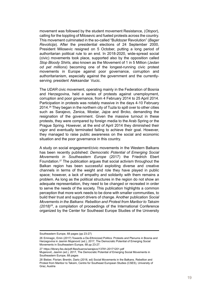movement was followed by the student movement Resistance, (*Otopor*), calling for the toppling of Milosevic and fueled protests across the country. This movement culminated in the so-called "Bulldozer Revolution" (*Bager Revolicija*). After the presidential elections of 24 September 2000, President Milosevic resigned on 5 October, putting a long period of authoritarian political rule to an end. In 2018-2020, wide-spread social (civic) movements took place, supported also by the opposition called *Stop Bloody Shirts*, also known as the Movement of 1 in 5 Million (J*edan od pet millions*) becoming one of the longest-running civic protest movements in Europe against poor governance, corruption and authoritarianism, especially against the government and the currentlyserving president Aleksandar Vucic.

The *UDAR* civic movement, operating mainly in the Federation of Bosnia and Herzegovina, held a series of protests against unemployment, corruption and poor governance, from 4 February 2014 to 25 April 2014. Participation in protests was notably massive in the days 4-10 February 2014.26 They began in the northern city of Tuzla to spill over to other cities such as Sarajevo, Zenica, Mostar, Jajce and Brcko, demanding the resignation of the government. Given the massive turnout in these protests, they were compared by foreign media to the Arab Spring or the Prague Spring. However, at the end of April 2014 they diminished their vigor and eventually terminated failing to achieve their goal. However, they managed to raise public awareness on the social and economic situation and the poor governance in this country.

A study on social engagement/civic movements in the Western Balkans has been recently published: *Democratic Potential of Emerging Social Movements in Southeastern Europe* (2017) the Friedrich Ebert Foundation.27 The publication argues that social activism throughout the Balkan region has been successful exploiting diverse and creative channels in terms of the weight and role they have played in public space; however, a lack of empathy and solidarity with them remains a problem. As long as the political structures in the region do not show an adequate representation, they need to be changed or recreated in order to serve the needs of the society. This publication highlights a common perception that more work needs to be done with smaller communities, to build their trust and support drivers of change. Another publication *Social Movements in the Balkans: Rebellion and Protest from Maribor to Taksim (2018)28*, a compilation of proceedings of the International Conference organized by the Center for Southeast Europe Studies of the University

Southeastern Europe, 68 pages (pp 23-27)

<sup>26</sup>  Eminagic, Emin (2017) Towards a De-Ethnicized Politics: Protests and Plenums in Bosnia and Herzegovina in Jasmin Mujanović (ed.), 2017, The Democratic Potential of Emerging Social Movements in Southeastern Europe, 68 pp 23-27.

<sup>27</sup> <https://library.fes.de/pdf-files/bueros/sarajevo/13781-20171201.pdf>

Mujanović, Jasmin (ed.), 2017, The Democratic Potential of Emerging Social Movements in Southeastern Europe, 68 pages

<sup>28</sup>  Bieber, Florian; Brentin, Dario (2018, ed) Social Movements in the Balkans. Rebellion and Protest from Maribor to Taksim, Centre for Southeast European Studies (CSES), University of Graz, Austria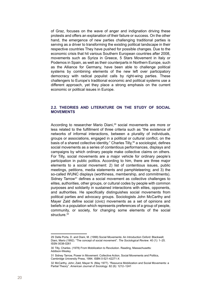<span id="page-19-0"></span>of Graz, focuses on the wave of anger and indignation driving these protests and offers an explanation of their failure or success. On the other hand, the emergence of new parties challenging traditional parties is serving as a driver to transforming the existing political landscape in their respective countries They have pushed for possible changes. Due to the economic crisis that hit various Southern European countries after 2008, movements such as Syriza in Greece, 5 Stars Movement in Italy or Podemos in Spain, as well as their counterparts in Northern Europe, such as the Alliance for Germany, have been able to challenge political systems by combining elements of the new left over participatory democracy with radical populist calls by right-wing parties. These challengers to Europe's traditional economic and political systems use a different approach, yet they place a strong emphasis on the current economic or political issues in Europe.

#### **2.2. Theories and literature on the study of social movements**

According to researcher Mario Diani.<sup>29</sup> social movements are more or less related to the fulfillment of three criteria such as "the existence of networks of informal interactions, between a plurality of individuals, groups or associations, engaged in a political or cultural conflict, on the basis of a shared collective identity." Charles Tilly,<sup>30</sup> a sociologist, defines social movements as a series of contentious performances, displays and campaigns by which ordinary people make collective claims on others. For Tilly, social movements are a major vehicle for ordinary people's participation in public politics. According to him, there are three major elements to a social movement: 2) list of contentious issues, public meetings, petitions, media statements and pamphleteering; and 3) the so-called WUNC displays (worthiness, membership, and commitments). Sidney Tarrow<sup>31</sup> defines a social movement as collective challenges to elites, authorities, other groups, or cultural codes by people with common purposes and solidarity in sustained interactions with elites, opponents, and authorities. He specifically distinguishes social movements from political parties and advocacy groups. Sociologists John McCarthy and Mayer Zald define social (civic) movements as a set of opinions and beliefs in a population which represents preferences of a group of people, community, or society, for changing some elements of the social structure.<sup>32</sup>

<sup>29</sup>  Della Porta, D. and Diani, M. (1999) Social Movements: An Introduction Oxford: Blackwell; Diani, Mario (1992). "The concept of social movement". *The Sociological Review*. 40 (1): 1–25. [ISSN](https://en.wikipedia.org/wiki/ISSN_(identifier)) [0038-0261](https://www.worldcat.org/issn/0038-0261)

<sup>30</sup>  Tilly, Charles. (1978) From Mobilization to Revolution. Reading, Massachusetts: Addison-Wesley.

<sup>31</sup>  [Sidney Tarrow,](https://en.wikipedia.org/wiki/Sidney_Tarrow) Power in Movement: Collective Action, Social Movements and Politics, [Cambridge University Press](https://en.wikipedia.org/wiki/Cambridge_University_Press), 1994. [ISBN](https://en.wikipedia.org/wiki/ISBN_(identifier)) [0-521-42271-X](https://en.wikipedia.org/wiki/Special:BookSources/0-521-42271-X)

<sup>32</sup>  McCarthy, John; Zald, Mayer N. (May 1977). "Resource Mobilization and Social Movements: a Partial Theory". *American Journal of Sociology*. 82 (6): 1212–1241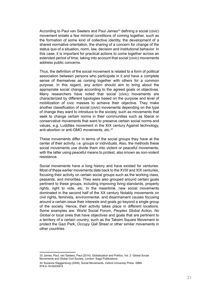According to Paul van Seeters and Paul James<sup>33</sup> defining a social (civic) movement entails a few minimal conditions of coming together, such as the formation of some kind of collective identity, the development of a shared normative orientation, the sharing of a concern for change of the status quo of a situation, norm, law, decision and institutional behavior. In this case, it is important for practical actions to come together across an extended period of time, taking into account that social (civic) movements address public concerns.

Thus, the definition of the social movement is related to a form of political association between persons who participate in it and have a complete sense of themselves as coming together with others for a common purpose. In this regard, any action should aim to bring about the appropriate social change according to the agreed goals or objectives. Many researchers have noted that social (civic) movements are characterized by different typologies based on the purpose and level of mobilization of civic masses to achieve their objective. They make another classification of social (civic) movements depending on the type of change they want to introduce to the society, such as movements that seek to change certain norms in their communities such as liberal or conservative movements that want to preserve certain social norms and values, e.g. Luddites movement in the XIX century Against technology, anti-abortion or anti-GMO movements, etc.<sup>34</sup>

These movements differ in terms of the social groups they have at the center of their activity, i.e. groups or individuals. Also, the methods these social movements use divide them into violent or peaceful movements, with the latter using peaceful means to protest, also known as non-violent resistance.

Social movements have a long history and have existed for centuries. Most of these earlier movements date back to the XVIII and XIX centuries, focusing their activity on certain social groups such as the working class, peasants, and minorities. They were also grouped around certain goals pertinent to these groups, including improving living standards, property rights, right to vote, etc. In the meantime, new social movements dominated in the second half of the XX century Notably movements on civil rights, feminists, environmental, and disarmament causes focusing around a certain issue their interests and goals go beyond a single group of the society. Hence, their activity takes place in different locations. Some examples are: World Social Forum, *Peoples Global Action*, *No Global* or local ones that have objectives and goals that are pertinent to a territory of a certain country, such as the Taksim Square Movement to protect the Gazi Park, *Occupy Qall Street* or other similar movements in other countries.

<sup>33</sup>  [James, Paul;](https://en.wikipedia.org/wiki/Paul_James_(academic)) van Seeters, Paul (2014). [Globalization and Politics, Vol. 2: Global Social](https://www.academia.edu/7305007)  [Movements and Global Civil Society.](https://www.academia.edu/7305007) London: Sage Publications.

<sup>34</sup>  Suzanne Staggenborg (2008), Social Movements, [Oxford University Press](https://en.wikipedia.org/wiki/Oxford_University_Press). [ISBN](https://en.wikipedia.org/wiki/ISBN_(identifier)) [978-0-19-542309-9](https://en.wikipedia.org/wiki/Special:BookSources/978-0-19-542309-9)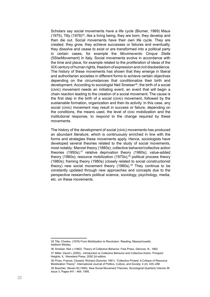Scholars say social movements have a life cycle (Blumer, 1969) Maus (1975), Tilly (1978)35, like a living being, they are born, they develop and then die out. Social movements have their own life cycle. They are created, they grow, they achieve successes or failures and eventually, they dissolve and cease to exist or are transformed into a political party in certain cases, for example the *Movimevento Cinque Stelle* (5StarMovement) in Italy. Social movements evolve in accordance with the time and place, for example related to the proliferation of ideas of the XIX century of human rights, freedom of expression and civil disobedience. The history of these movements has shown that they emerge in liberal and authoritarian societies in different forms to achieve certain objectives depending on the circumstances that conditionalize their birth and development. According to sociologist Neil Smelser<sup>36</sup>, the birth of a social (civic) movement needs an initiating event, an event that will begin a chain reaction leading to the creation of a social movement. The cause is the first step in the birth of a social (civic) movement, followed by the sustainable formation, organization and then its activity. In this case, any social (civic) movement may result in success or failure, depending on the conditions, the means used, the level of civic mobilization and the institutional response, to respond to the change required by these movements.

The history of the development of social (civic) movements has produced an abundant literature, which is continuously enriched in line with the forms and strategies these movements apply. Hence, sociologists have developed several theories related to the study of social movements, most notably: Marxist theory (1880s); collective behavior/collective action theories (1950s);37 relative deprivation theory (1960s); value-added theory (1960s); resource mobilization (1970s); $38$  political process theory (1980s); framing theory (1980s) (closely related to social constructionist theory) new social movement theory (1980s).39 They continue to be constantly updated through new approaches and concepts due to the perspective researchers political science, sociology, psychology, media, etc. on these movements.

<sup>35</sup>  Tilly, Charles. (1978) From Mobilization to Revolution. Reading, Massachusetts: Addison-Wesley.

<sup>36</sup>  Smelser, Neil J (1962). Theory of Collective Behavior, Free Press, Glencoe, Ill., 1962

<sup>37</sup>  Miller, David L (2000)., Introduction to Collective Behavior and Collective Action, Prospect Heights, IL: Waveland Press, 2000 2d edition.

<sup>38</sup>  Piven, Francis; Cloward, Richard (Summer 1991). "Collective Protest: A Critique of Resource Mobilization Theory". International Journal of Politics, Culture, and Society. 4 (4): 435–458 39  Buechler, Steven M (1995). New Social Movement Theories, Sociological Quarterly Volume 36

Issue 3, Pages 441 - 464, 1995.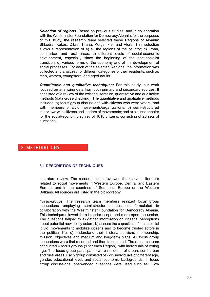<span id="page-22-0"></span>*Selection of regions:* Based on previous studies, and in collaboration with the Westminster Foundation for Democracy Albania, for the purposes of this study, the research team selected these Regions of Albania: Shkodra, Kukës, Dibra, Tirana, Korça, Fier and Vlora. This selection allows a representation of a) all the regions of the country; b) urban, semi-urban and rural areas; c) different levels of social-economic development, especially since the beginning of the post-socialist transition; d) various forms of the economy and of the development of social processes. For each of the selected Regions, the information was collected and analyzed for different categories of their residents, such as men, women, youngsters, and aged adults.

*Quantitative and qualitative techniques:* For this study, our work focused on analyzing data from both primary and secondary sources. It consisted of a review of the existing literature, quantitative and qualitative methods (data cross-checking). The quantitative and qualitative methods included: a) focus group discussions with citizens who were voters, and with members of civic movements/organizations; b) semi-structured interviews with citizens and leaders of movements; and c) a questionnaire for the social-economic survey of 1018 citizens, consisting of 20 sets of questions.

## 3. Methodology

#### **3.1 Description of techniques**

Literature review. The research team reviewed the relevant literature related to social movements in Western Europe, Central and Eastern Europe, and in the countries of Southeast Europe or the Western Balkans. All sources are listed in the bibliography.

*Focus-groups*: The research team members realized focus group discussions employing semi-structured questions, formulated in collaboration with the Westminster Foundation for Democracy Albania. This technique allowed for a broader scope and more open discussion. The questions helped to a) gather information on citizens' perceptions about potential new policy actors; b) assess the capacities of these social (civic) movements to mobilize citizens and to become trusted actors in the political life; c) understand their history, activism, membership, mission, objectives and medium and long-term plans. All focus group discussions were first recorded and then transcribed. The research team conducted 6 focus groups (1 for each Region), with individuals of voting age. The focus group participants were residents of urban, semi-urban and rural areas. Each group consisted of 7-12 individuals of different age, gender, educational level, and social-economic backgrounds. In focus group discussions, open-ended questions were used such as: 'How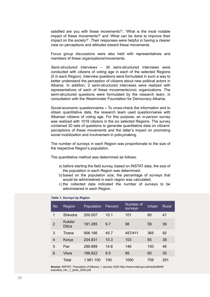<span id="page-23-0"></span>satisfied are you with these movements?', 'What is the most notable impact of these movements?' and 'What can be done to improve their impact on the society?'. Their responses were helpful in having a clearer view on perceptions and attitudes toward these movements.

Focus group discussions were also held with representatives and members of these organizations/movements.

*Semi-structured interviews* – 30 semi-structured interviews were conducted with citizens of voting age in each of the selected Regions (5 in each Region). Interview questions were formulated in such a way to better understand the perception of citizens about new political actors in Albania. In addition, 2 semi-structured interviews were realized with representatives of each of these movements/civic organizations. The semi-structured questions were formulated by the research team, in consultation with the Westminster Foundation for Democracy Albania.

Social-economic questionnaires **–** To cross-check the information and to obtain quantitative data, the research team used questionnaires with Albanian citizens of voting age. For this purpose, an *in-person* survey was realized with 1018 citizens in the six selected Regions. The survey contained 20 sets of questions to generate quantitative data on citizens' perceptions of these movements and the latter's impact on promoting social mobilization and involvement in policymaking.

The number of surveys in each Region was proportionate to the size of the respective Region's population.

The quantitative method was determined as follows:

- a) before starting the field survey, based on INSTAT data, the size of the population in each Region was determined;
- b) based on the population size, the percentage of surveys that would be administered in each region was calculated;
- c) the collected data indicated the number of surveys to be administered in each Region.

| <b>No</b>      | Region          | Population | Percent | Number of<br>surveys | Urban | Rural |
|----------------|-----------------|------------|---------|----------------------|-------|-------|
| 1              | Shkodra         | 200.007    | 10.1    | 101                  | 60    | 41    |
| $\overline{2}$ | Kukës/<br>Dibra | 191.285    | 9.7     | 98                   | 59    | 39    |
| 3              | Tirana          | 906.166    | 45.7    | 457/411              | 365   | 92    |
| $\overline{4}$ | Korça           | 204.831    | 10.3    | 103                  | 65    | 38    |
| 5              | Fier            | 289.889    | 14.6    | 146                  | 100   | 46    |
| 6              | Vlora           | 188.922    | 9.5     | 95                   | 60    | 35    |
|                | Total           | 1.981.100  | 100     | 1000                 | 709   | 291   |

#### *Table 1. Surveys by Region*

**Source**: INSTAT., Population of Albania, 1 January 2020 [http://www.instat.gov.al/media/6849/](http://www.instat.gov.al/media/6849/popullsia_me-_1_janar_2020.pdf) [popullsia\\_me-\\_1\\_janar\\_2020.pdf](http://www.instat.gov.al/media/6849/popullsia_me-_1_janar_2020.pdf)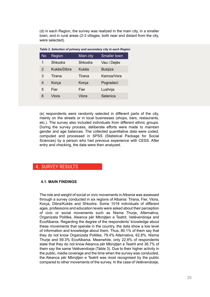<span id="page-24-0"></span>(d) in each Region, the survey was realized in the main city, in a smaller town, and in rural areas (2-3 villages, both near and distant from the city, were selected).

| Table 2. Selection of primary and secondary city in each Region |             |           |                |  |  |  |  |
|-----------------------------------------------------------------|-------------|-----------|----------------|--|--|--|--|
| <b>No</b>                                                       | Region      | Main city | Smaller town   |  |  |  |  |
| 1                                                               | Shkodra     | Shkodra   | Vau i Dejës    |  |  |  |  |
| $\overline{2}$                                                  | Kukës/Dibra | Kukës     | <b>Bulgiza</b> |  |  |  |  |
| 3                                                               | Tirana      | Tirana    | Kamza/Vora     |  |  |  |  |
| 4                                                               | Korça       | Korça     | Pogradeci      |  |  |  |  |
| 5                                                               | Fier        | Fier      | Lushnja        |  |  |  |  |
| 6                                                               | Vlora       | Vlora     | Selenica       |  |  |  |  |
|                                                                 |             |           |                |  |  |  |  |

(e) respondents were randomly selected in different parts of the city, mainly on the streets or in local businesses (shops, bars, restaurants, etc.). The survey also included individuals from different ethnic groups. During the survey process, deliberate efforts were made to maintain gender and age balances. The collected quantitative data were coded, computed and processed in SPSS (Statistical Package for Social Sciences) by a person who had previous experience with CESS. After entry and checking, the data were then analyzed.

## 4. Survey results

#### **4.1. Main findings**

The role and weight of social or civic movements in Albania was assessed through a survey conducted in six regions of Albania: Tirana, Fier, Vlora, Korça, Dibra/Kukës and Shkodra. Some 1018 individuals of different ages, professions and education levels were asked about their perception of civic or social movements such as Nisma Thurje, Alternativa, Organizata Politike, Aleanca për Mbrojtjen e Teatrit, Vetëvendosja and EcoAlbania. Regarding the degree of the respondents' knowledge about these movements that operate in the country, the data show a low level of information and knowledge about them. Thus, 80.1% of them say that they do not know Organizata Politike, 79.4% Alternativa, 62.8%. Nisma Thurje and 59.3% EcoAlbania. Meanwhile, only 22.8% of respondents state that they do not know Aleanca për Mbrojtjen e Teatrit and 36.7% of them say the same Vetëvendosje (Table 3). Due to their higher activity in the public, media coverage and the time when the survey was conducted, the Aleanca për Mbroitien e Teatrit was most recognised by the public compared to other movements of the survey. In the case of Vetëvendosje,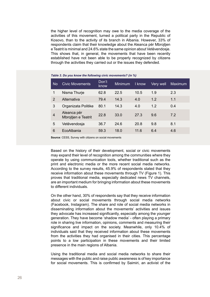<span id="page-25-0"></span>the higher level of recognition may owe to the media coverage of the activities of this movement, turned a political party in the Republic of Kosovo, than to the activity of its branch in Albania. However, 33% of respondents claim that their knowledge about the Aleanca për Mbrojtjen e Teatrit is minimal and 24.6% state the same opinion about Vetëvendosje. This shows that, in general, the movements that have been recently established have not been able to be properly recognized by citizens through the activities they carried out or the issues they defended.

| <b>No</b>      | <b>Civic Movements</b>             | Don't<br>know | <b>Minimum</b> | I know | Very well | Maximum |
|----------------|------------------------------------|---------------|----------------|--------|-----------|---------|
| 1              | Nisma Thurje                       | 62.8          | 22.5           | 10.5   | 1.9       | 2.3     |
| $\overline{2}$ | Alternativa                        | 79.4          | 14.3           | 4.0    | 1.2       | 1.1     |
| 3              | Organizata Politike                | 80.1          | 14.3           | 4.0    | 1.2       | 0.4     |
| $\overline{4}$ | Aleanca për<br>Mbrojtjen e Teatrit | 22.8          | 33.0           | 27.3   | 9.6       | 7.2     |
| 5              | Vetëvendosja                       | 36.7          | 24.6           | 20.8   | 9.8       | 8.1     |
| 6              | EcoAlbania                         | 59.3          | 18.0           | 11.6   | 6.4       | 4.6     |

*Table 3. Do you know the following civic movements? (in %)*

**Source**: CESS, Survey with citizens on social movements

Based on the history of their development, social or civic movements may expand their level of recognition among the communities where they operate by using communication tools, whether traditional such as the print and electronic media or the more recent social media networks. According to the survey results, 45.9% of respondents stated that they receive information about these movements through TV (Figure 1). This proves that traditional media, especially dedicated news TV channels, are an important medium for bringing information about these movements to different individuals.

On the other hand, 30% of respondents say that they receive information about civic or social movements through social media networks (Facebook, Instagram). The share and role of social media networks in disseminating information about the movements' activities and issues they advocate has increased significantly, especially among the younger generation. They have become 'shadow media' - often playing a primary role in sharing live information, opinions, comments and measuring their significance and impact on the society. Meanwhile, only 10.4% of individuals said that they received information about these movements from the activities they had organised in their cities. This percentage points to a low participation in these movements and their limited presence in the main regions of Albania.

Using the traditional media and social media networks to share their messages with the public and raise public awareness is of key importance for social movements. This is confirmed by Saimiri, an activist of the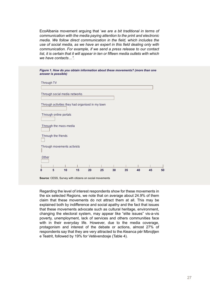<span id="page-26-0"></span>EcoAlbania movement arguing that '*we are a bit traditional in terms of communication with the media paying attention to the print and electronic media. We follow direct communication in the field, which includes the use of social media, as we have an expert in this field dealing only with communication. For example, if we send a press release to our contact list, it is certain that it will appear in ten or fifteen media outlets with which we have contacts…".*

| Through TV                                                                 |    |    |    |    |    |    |    |    |
|----------------------------------------------------------------------------|----|----|----|----|----|----|----|----|
| Through social media networks                                              |    |    |    |    |    |    |    |    |
| Through activities they had organised in my town<br>Through online portals |    |    |    |    |    |    |    |    |
| Through the mass-media                                                     |    |    |    |    |    |    |    |    |
| Through the friends                                                        |    |    |    |    |    |    |    |    |
| Through movements activists<br>I                                           |    |    |    |    |    |    |    |    |
| Other                                                                      |    |    |    |    |    |    |    |    |
| 5<br>n                                                                     | 10 | 15 | 20 | 25 | 30 | 35 | 40 | 45 |

**Source**: CESS, Survey with citizens on social movements

Regarding the level of interest respondents show for these movements in the six selected Regions, we note that on average about 24.9% of them claim that these movements do not attract them at all. This may be explained both by indifference and social apathy and the fact that issues that these movements advocate such as cultural heritage, environment, changing the electoral system, may appear like "elite issues" vis-a-vis poverty, unemployment, lack of services and others communities face with in their everyday life. However, due to the media coverage, protagonism and interest of the debate or actions, almost 27% of respondents say that they are very attracted to the Aleanca për Mbrojtjen e Teatrit, followed by 19% for Vetëvendosje (Table 4).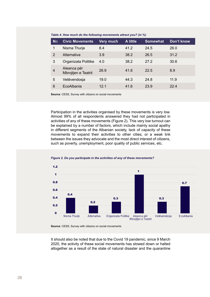| <b>No</b>      | <b>Civic Movements</b>             | Very much | A little | <b>Somewhat</b> | Don't know |
|----------------|------------------------------------|-----------|----------|-----------------|------------|
| 1              | Nisma Thurje                       | 8.4       | 41.2     | 24.5            | 26.0       |
| $\overline{2}$ | Alternativa                        | 3.9       | 38.2     | 26.5            | 31.2       |
| 3              | Organizata Politike                | 4.0       | 38.2     | 27.2            | 30.6       |
| $\overline{4}$ | Aleanca për<br>Mbrojtjen e Teatrit | 26.9      | 41.6     | 22.5            | 8.9        |
| 5              | Vetëvendosja                       | 19.0      | 44.3     | 24.8            | 11.9       |
| 6              | EcoAlbania                         | 121       | 41.6     | 23.9            | 22.4       |

<span id="page-27-0"></span>*Table 4. How much do the following movements attract you? (in %)*

**Source**: CESS, Survey with citizens on social movements

Participation in the activities organised by these movements is very low. Almost 99% of all respondents answered they had not participated in activities of any of these movements (Figure 2). This very low turnout can be explained by a number of factors, which include mainly social apathy in different segments of the Albanian society, lack of capacity of these movements to expand their activities to other cities, or a weak link between the issues they advocate and the most direct interest of citizens, such as poverty, unemployment, poor quality of public services, etc.





**Source**: CESS, Survey with citizens on social movements

It should also be noted that due to the Covid 19 pandemic, since 9 March 2020, the activity of these social movements has slowed down or halted altogether as a result of the state of natural disaster and the quarantine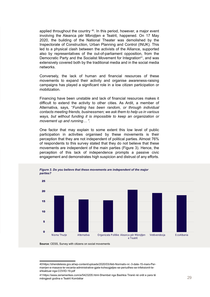<span id="page-28-0"></span>applied throughout the country <sup>40</sup>. In this period, however, a major event involving the Aleanca për Mbrojtjen e Teatrit, happened. On 17 May 2020, the building of the National Theater was demolished by the Inspectorate of Construction, Urban Planning and Control (INUK). This led to a physical clash between the activists of the Alliance, supported also by representatives of the out-of-parliament opposition, from the Democratic Party and the Socialist Movement for Integration<sup>41</sup>, and was extensively covered both by the traditional media and in the social media networks.

Conversely, the lack of human and financial resources of these movements to expand their activity and organise awareness-raising campaigns has played a significant role in a low citizen participation or mobilization.

Financing have been unstable and lack of financial resources makes it difficult to extend the activity to other cities. As Ardit, a member of Alternativa, says, "*Funding has been random, or through individual contacts meeting friends, businessmen; we ask them to help us in various ways, but without funding it is impossible to keep an organization or movement up and running… ".*

One factor that may explain to some extent this low level of public participation in activities organised by these movements is their perception that they are not independent of political parties. Almost 76% of respondents to this survey stated that they do not believe that these movements are independent of the main parties (Figure 3). Hence, the perception of this lack of independence prompts a passive civic engagement and demonstrates high suspicion and distrust of any efforts.



**Source**: CESS, Survey with citizens on social movements

<sup>40</sup> [https://shendetesia.gov.al/wp-content/uploads/2020/03/Akti-Normativ-nr.-3-date-15-mars-Per](https://shendetesia.gov.al/wp-content/uploads/2020/03/Akti-Normativ-nr.-3-date-15-mars-Per-marrjen-e-masava-te-vecanta-administrative-gjate-kohezgjatjes-se-periudhes-se-infeksionit-te-shkaktuar-nga-COVID-19.pdf)[marrjen-e-masava-te-vecanta-administrative-gjate-kohezgjatjes-se-periudhes-se-infeksionit-te](https://shendetesia.gov.al/wp-content/uploads/2020/03/Akti-Normativ-nr.-3-date-15-mars-Per-marrjen-e-masava-te-vecanta-administrative-gjate-kohezgjatjes-se-periudhes-se-infeksionit-te-shkaktuar-nga-COVID-19.pdf)[shkaktuar-nga-COVID-19.pdf](https://shendetesia.gov.al/wp-content/uploads/2020/03/Akti-Normativ-nr.-3-date-15-mars-Per-marrjen-e-masava-te-vecanta-administrative-gjate-kohezgjatjes-se-periudhes-se-infeksionit-te-shkaktuar-nga-COVID-19.pdf)

<sup>41</sup> [https://www.zeriamerikes.com/a/5423205.html-S](https://www.zeriamerikes.com/a/5423205.html-)hembet nga Bashkia Tiranë në orët e para të mëngjesit godina e Teatrit Kombëtar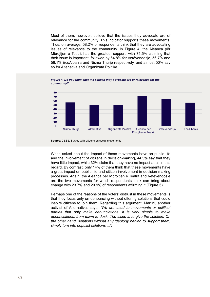<span id="page-29-0"></span>Most of them, however, believe that the issues they advocate are of relevance for the community. This indicator supports these movements. Thus, on average, 58.2% of respondents think that they are advocating issues of relevance to the community. In Figure 4, the Aleanca për Mbrojtjen e Teatrit has the greatest support; with 71.5% claiming that their issue is important, followed by 64.8% for Vetëvendosje, 56.7% and 56.1% EcoAlbania and Nisma Thurje respectively, and almost 50% say so for Altenativa and Organizata Politike.





**Source**: CESS, Survey with citizens on social movements

When asked about the impact of these movements have on public life and the involvement of citizens in decision-making, 44.5% say that they have little impact, while 32% claim that they have no impact at all in this regard. By contrast, only 14% of them think that these movements have a great impact on public life and citizen involvement in decision-making processes. Again, the Aleanca për Mbrojtjen e Teatrit and Vetëvendosje are the two movements for which respondents think can bring about change with 23.7% and 20.9% of respondents affirming it (Figure 5).

Perhaps one of the reasons of the voters' distrust in these movements is that they focus only on denouncing without offering solutions that could inspire citizens to join them. Regarding this argument, Martini, another activist of Alternativa, says, *"We are used to movements or political parties that only make denunciations. It is very simple to make denunciations, from dawn to dusk. The issue is to give the solution. On the other hand, solutions without any ideology behind to support them, simply turn into populist solutions ...".*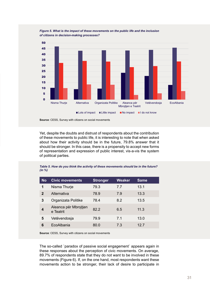

<span id="page-30-0"></span>*Figure 5. What is the impact of these movements on the public life and the inclusion of citizens in decision-making processes?*

**Source**: CESS, Survey with citizens on social movements

Yet, despite the doubts and distrust of respondents about the contribution of these movements to public life, it is interesting to note that when asked about how their activity should be in the future, 79.8% answer that it should be stronger. In this case, there is a propensity to accept new forms of representation and expression of public interest, vis-a-vis the system of political parties.

*Table 5. How do you think the activity of these movements should be in the future? (in %)*

| <b>No</b>    | <b>Civic movements</b>             | <b>Stronger</b> | Weaker | <b>Same</b> |
|--------------|------------------------------------|-----------------|--------|-------------|
| 1            | Nisma Thurje                       | 79.3            | 77     | 13.1        |
| $\mathbf{2}$ | Alternativa                        | 78.9            | 7.9    | 13.3        |
| 3            | Organizata Politike                | 78.4            | 8.2    | 13.5        |
| 4            | Aleanca për Mbrojtjen<br>e Teatrit | 82.2            | 6.5    | 11.3        |
| 5            | Vetëvendosja                       | 79.9            | 7.1    | 13.0        |
| 6            | EcoAlbania                         | 80.0            | 7.3    | 12.7        |
|              |                                    |                 |        |             |

**Source**: CESS, Survey with citizens on social movements

The so-called `paradox of passive social engagement` appears again in these responses about the perception of civic movements. On average, 89.7% of respondents state that they do not want to be involved in these movements (Figure 6). If, on the one hand, most respondents want these movements action to be stronger, their lack of desire to participate in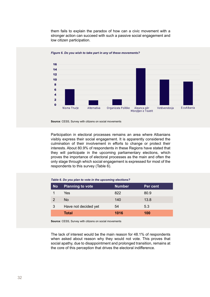<span id="page-31-0"></span>them fails to explain the paradox of how can a civic movement with a stronger action can succeed with such a passive social engagement and low citizen participation.



#### *Figure 6. Do you wish to take part in any of these movements?*

Participation in electoral processes remains an area where Albanians visibly express their social engagement. It is apparently considered the culmination of their involvement in efforts to change or protect their interests. About 80.9% of respondents in these Regions have stated that they will participate in the upcoming parliamentary elections, which proves the importance of electoral processes as the main and often the only stage through which social engagement is expressed for most of the respondents to this survey (Table 6).

#### *Table 6. Do you plan to vote in the upcoming elections?*

| <b>No</b>     | <b>Planning to vote</b> | <b>Number</b> | Per cent |
|---------------|-------------------------|---------------|----------|
|               | Yes                     | 822           | 80.9     |
| $\mathcal{P}$ | No                      | 140           | 13.8     |
| 3             | Have not decided yet    | 54            | 5.3      |
|               | <b>Total</b>            | 1016          | 100      |

**Source**: CESS, Survey with citizens on social movements

The lack of interest would be the main reason for 48.1% of respondents when asked about reason why they would not vote. This proves that social apathy, due to disappointment and prolonged transition, remains at the core of this perception that drives the electoral indifference.

**Source**: CESS, Survey with citizens on social movements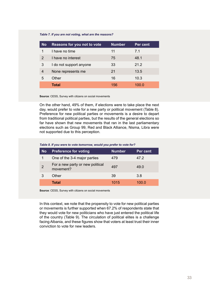#### <span id="page-32-0"></span>*Table 7. If you are not voting, what are the reasons?*

| <b>No</b>     | Reasons for you not to vote | <b>Number</b> | Per cent |
|---------------|-----------------------------|---------------|----------|
|               | I have no time              | 11            | 7.1      |
| $\mathcal{P}$ | I have no interest          | 75            | 48.1     |
| 3             | I do not support anyone     | 33            | 21.2     |
| 4             | None represents me          | 21            | 13.5     |
| 5             | Other                       | 16            | 10.3     |
|               | Total                       | 156           | 100.0    |

**Source**: CESS, Survey with citizens on social movements

On the other hand, 49% of them, if elections were to take place the next day, would prefer to vote for a new party or political movement (Table 8). Preference for new political parties or movements is a desire to depart from traditional political parties, but the results of the general elections so far have shown that new movements that ran in the last parliamentary elections such as Group 99, Red and Black Alliance, Nisma, Libra were not supported due to this perception.

*Table 8. If you were to vote tomorrow, would you prefer to vote for?*

| <b>No</b> | <b>Preference for voting</b>                  | <b>Number</b> | Per cent |
|-----------|-----------------------------------------------|---------------|----------|
| 1         | One of the 3-4 major parties                  | 479           | 47.2     |
| 2         | For a new party or new political<br>movement? | 497           | 49.0     |
|           | Other                                         | 39            | 3.8      |
|           | <b>Total</b>                                  | 1015          | 100.0    |

**Source**: CESS, Survey with citizens on social movements

In this context, we note that the propensity to vote for new political parties or movements is further supported when 67.2% of respondents state that they would vote for new politicians who have just entered the political life of the country (Table 9). The circulation of political elites is a challenge facing Albania, and these figures show that voters at least trust their inner conviction to vote for new leaders.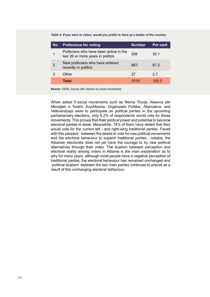<span id="page-33-0"></span>*Table 9. If you were to select, would you prefer to have as a leader of the country:*

| <b>No</b> | <b>Preference for voting</b>                                                 | <b>Number</b> | Per cent |
|-----------|------------------------------------------------------------------------------|---------------|----------|
|           | Politicians who have been active in the<br>last 20 or more years in politics | 306           | 30.1     |
| 2         | New politicians who have entered<br>recently in politics                     | 683           | 67.2     |
|           | Other                                                                        | 27            | 27       |
|           | Total                                                                        | 1016          | 100 O    |

**Source**: CESS, Survey with citizens on social movements

When asked if social movements such as Nisma Thurie, Aleanca për Mbrojtjen e Teatrit, EcoAlbania, Organizata Politike, Alternativa, and Vetëvendosja were to participate as political parties in the upcoming parliamentary elections, only 6.2% of respondents would vote for these movements. This proves that their political power and potential to become electoral parties is weak. Meanwhile, 74% of them have stated that they would vote for the current left - and right-wing traditional parties. Faced with this paradox - between the desire to vote for new political movements and the electoral behaviour to support traditional parties - notably, the Albanian electorate does not yet have the courage to try new political alternatives through their votes. The dualism between perception and electoral reality among voters in Albania is the main explanation as to why for many years, although most people have a negative perception of traditional parties, the electoral behaviour has remained unchanged and `political dualism` between the two main parties continues to prevail as a result of this unchanging electoral behaviour.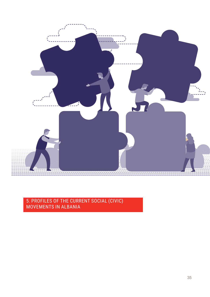<span id="page-34-0"></span>

## 5. Profiles of the current social (civic) movements in Albania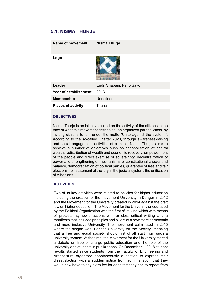## <span id="page-35-0"></span>**5.1. Nisma Thurje**

| Name of movement          | Nisma Thurje             |
|---------------------------|--------------------------|
| Logo                      |                          |
| Leader                    | Endri Shabani, Pano Sako |
| Year of establishment     | 2013                     |
| Membership                | Undefined                |
| <b>Places of activity</b> | Tirana                   |

#### **Objectives**

Nisma Thurje is an initiative based on the activity of the citizens in the face of what this movement defines as "an organized political class" by inviting citizens to join under the motto `Unite against the system '. According to the so-called Charter 2020, through awareness-raising and social engagement activities of citizens, Nisma Thurje, aims to achieve a number of objectives such as nationalization of natural wealth, redistribution of wealth and economic recovery, empowerment of the people and direct exercise of sovereignty, decentralization of power and strengthening of mechanisms of constitutional checks and balance, democratization of political parties, guarantee of free and fair elections, reinstatement of the jury in the judicial system, the unification of Albanians.

#### **Activities**

Two of its key activities were related to policies for higher education including the creation of the movement University in Danger in 2012 and the Movement for the University created in 2014 against the draft law on higher education. The Movement for the University encouraged by the Political Organization was the first of its kind which with means of protests, symbolic actions with articles, critical writing and a manifesto that included principles and pillars of a new more democratic and more inclusive University. The movement culminated in 2015 where the slogan was "For the University for the Society" meaning that a free and equal society should first of all start from such a university system. At the time, the Movement for the University started a debate on free of charge public education and the role of the university and students in public space. On December 4, 2018 student revolts started since students from the Faculty of Engineering and Architecture organized spontaneously a petition to express their dissatisfaction with a sudden notice from administration that they would now have to pay extra fee for each test they had to repeat from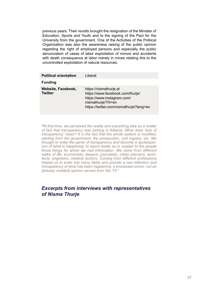previous years. Their revolts brought the resignation of the Minister of Education, Sports and Youth and to the signing of the Pact for the University from the government. One of the Activities of the Political Organization was also the awareness raising of the public opinion regarding the right of employed persons and especially the public denunciation of cases of labor exploitation of minors and accidents with death consequence at labor merely in mines relating this to the uncontrolled exploitation of natural resources.

| <b>Political orientation</b><br><b>Funding</b> | I iberal                                                                                                                                                  |
|------------------------------------------------|-----------------------------------------------------------------------------------------------------------------------------------------------------------|
| Website, Facebook,<br><b>Twitter</b>           | https://nismathurje.al<br>https://www.facebook.com/thurje/<br>https://www.instagram.com/<br>nismathurje/?hl=en<br>https://twitter.com/nismathurje?lang=en |

*"At that time, we perceived the reality and everything else as a matter of fact that transparency was lacking in Albania. What does 'lack of transparency' mean? It is the fact that the whole system is modified, starting from the government, the prosecution, civil registry, etc. We thought to enter the game of transparency and become a spokesperson of what is happening, to report reality as is, explain to the people those things for which we had information. We came from different walks of life, economists, lawyers, journalists, urban planners, architects, engineers, medical doctors. Coming from different professions helped us to enter into many fields and provide a real reflection and transparency of what has been happening, a processed pinion, not an [already molded] opinion served from the TV."*

## *Excerpts from interviews with representatives of Nisma Thurje*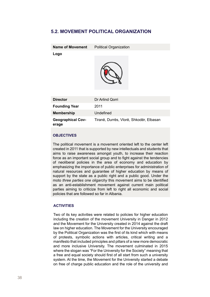## <span id="page-37-0"></span>**5.2. Movement Political Organization**

| <b>Name of Movement</b>           | Political Organization                  |
|-----------------------------------|-----------------------------------------|
| Logo                              |                                         |
| <b>Director</b>                   | Dr Arlind Qorri                         |
| <b>Founding Year</b>              | 2011                                    |
| Membership                        | Undefined                               |
| <b>Geographical Cov-</b><br>erage | Tiranë, Durrës, Vlorë, Shkodër, Elbasan |

#### **Objectives**

The political movement is a movement oriented left to the center left created in 2011 that is supported by new intellectuals and students that aims to raise awareness amongst youth, to increase their reaction force as an important social group and to fight against the tendencies of neoliberal policies in the area of economy and education by emphasizing the importance of public enterprises for administration of natural resources and guarantee of higher education by means of support by the state as a public right and a public good. Under the moto *three parties one oligarchy* this movement aims to be identified as an anti-establishment movement against current main political parties aiming to criticize from left to right all economic and social policies that are followed so far in Albania.

#### **Activities**

Two of its key activities were related to policies for higher education including the creation of the movement University in Danger in 2012 and the Movement for the University created in 2014 against the draft law on higher education. The Movement for the University encouraged by the Political Organization was the first of its kind which with means of protests, symbolic actions with articles, critical writing and a manifesto that included principles and pillars of a new more democratic and more inclusive University. The movement culminated in 2015 where the slogan was "For the University for the Society" meaning that a free and equal society should first of all start from such a university system. At the time, the Movement for the University started a debate on free of charge public education and the role of the university and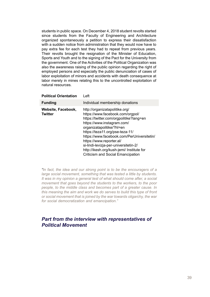students in public space. On December 4, 2018 student revolts started since students from the Faculty of Engineering and Architecture organized spontaneously a petition to express their dissatisfaction with a sudden notice from administration that they would now have to pay extra fee for each test they had to repeat from previous years. Their revolts brought the resignation of the Minister of Education, Sports and Youth and to the signing of the Pact for the University from the government. One of the Activities of the Political Organization was also the awareness raising of the public opinion regarding the right of employed persons and especially the public denunciation of cases of labor exploitation of minors and accidents with death consequence at labor merely in mines relating this to the uncontrolled exploitation of natural resources.

**Political Orientation** Left

| <b>Funding</b>                       | Individual membership donations                                                                                                                                                                                                                                                                                                                                                                                  |
|--------------------------------------|------------------------------------------------------------------------------------------------------------------------------------------------------------------------------------------------------------------------------------------------------------------------------------------------------------------------------------------------------------------------------------------------------------------|
| Website, Facebook,<br><b>Twitter</b> | http://organizatapolitike.org/<br>https://www.facebook.com/orgpol/<br>https://twitter.com/orgpolitike?lang=en<br>https://www.instagram.com/<br>organizatapolitike/?hl=en<br>https://teza11.org/pse-teza-11/<br>https://www.facebook.com/PerUniversitetin/<br>https://www.reporter.al/<br>si-lindi-levizja-per-universitetin-2/<br>http://ikesh.org/kush-jemi/ Institute for<br>Criticism and Social Emancipation |

*"In fact, the idea and our strong point is to be the encouragers of a large social movement, something that was tested a little by students. It was in my opinion a general test of what should come after, a social movement that goes beyond the students to the workers, to the poor people, to the middle class and becomes part of a greater cause. In this meaning the aim and work we do serves to build this type of front or social movement that is joined by the war towards oligarchy, the war for social democratization and emancipation."*

## *Part from the interview with representatives of Political Movement*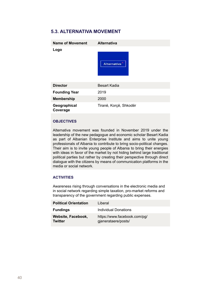## <span id="page-39-0"></span>**5.3. Alternativa Movement**

| Name of Movement         | <b>Alternativa</b>     |
|--------------------------|------------------------|
| Logo                     | <b>Alternativa</b>     |
| <b>Director</b>          | Besart Kadia           |
| <b>Founding Year</b>     | 2019                   |
| Membership               | 2000                   |
| Geographical<br>Coverage | Tiranë, Korçë, Shkodër |

#### **Objectives**

Alternativa movement was founded in November 2019 under the leadership of the new pedagogue and economic scholar Besart Kadia as part of Albanian Enterprise Institute and aims to unite young professionals of Albania to contribute to bring socio-political changes. Their aim is to invite young people of Albania to bring their energies with ideas in favor of the market by not hiding behind large traditional political parties but rather by creating their perspective through direct dialogue with the citizens by means of communication platforms in the media or social network.

#### **Activities**

Awareness rising through conversations in the electronic media and in social network regarding simple taxation, pro-market reforms and transparency of the government regarding public expenses.

| <b>Political Orientation</b>  | Liberal                                             |
|-------------------------------|-----------------------------------------------------|
| <b>Fundings</b>               | <b>Individual Donations</b>                         |
| Website, Facebook,<br>Twitter | https://www.facebook.com/pq/<br>qjenerataere/posts/ |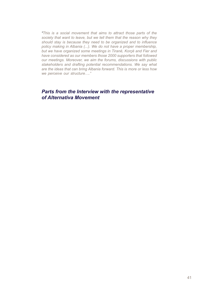*"This is a social movement that aims to attract those parts of the society that want to leave, but we tell them that the reason why they should stay is because they need to be organized and to influence policy making in Albania (...). We do not have a proper membership, but we have organized some meetings in Tiranë, Korçë and Fier and have considered as our members those 2000 supporters that followed our meetings. Moreover, we aim the forums, discussions with public stakeholders and drafting potential recommendations. We say what are the ideas that can bring Albania forward. This is more or less how we perceive our structure…."*

## *Parts from the Interview with the representative of Alternativa Movement*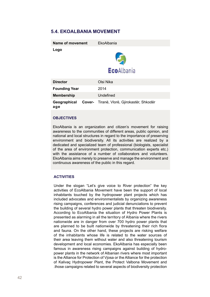## <span id="page-41-0"></span>**5.4. EkoAlbania Movement**

| Name of movement     | FkoAlbania                                 |
|----------------------|--------------------------------------------|
| Logo                 | <b>Eco</b> Albania                         |
| <b>Director</b>      | Olsi Nika                                  |
| <b>Founding Year</b> | 2014                                       |
| Membership           | Undefined                                  |
| Geographical<br>age  | Cover- Tiranë, Vlorë, Gjirokastër, Shkodër |

#### **Objectives**

EkoAlbania is an organization and citizen's movement for raising awareness to the communities of different areas, public opinion, and national and local structures in regard to the importance of preserving environment and biodiversity. All its activities are realized by a dedicated and specialized team of professional (biologists, specialist of the area of environment protection, communication experts etc.) with the assistance of a number of collaborators and volunteers. EkoAlbania aims merely to preserve and manage the environment and continuous awareness of the public in this regard.

#### **Activities**

Under the slogan "Let's give voice to River protection" the key activities of EcoAlbania Movement have been the support of local inhabitants touched by the hydropower plant projects which has included advocates and environmentalists by organizing awareness rising campaigns, conferences and judicial denunciations to prevent the building of several hydro power plants that threaten biodiversity. According to EcoAlbania the situation of Hydro Power Plants is presented as alarming in all the territory of Albania where the rivers nationwide are in danger from over 700 hydro power plants that are planned to be built nationwide by threatening their rich flora and fauna. On the other hand, these projects are risking welfare of the inhabitants whose life is related to the water sources of their area leaving them without water and also threatening tourism development and local economies. EkoAlbania has especially been famous in awareness rising campaigns against building of hydropower plants in the network of Albanian rivers where most important is the Alliance for Protection of Vjosa or the Alliance for the protection of Kalivaç Hydropower Plant, the Protect Valbona Movement and .those campaigns related to several aspects of biodiversity protection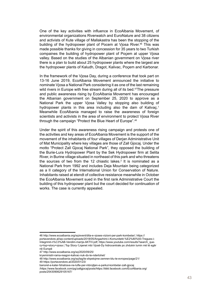One of the key activities with influence in EcoAlbania Movement, of environmental organizations Riverwatch and EuroNature and 38 citizens and activists of Kute village of Mallakastra has been the stopping of the building of the hydropower plant of Pocem at Vjosa River.<sup>46</sup> This was made possible thanks for giving in concession for 35 years to two Turkish compaines the building of hydropower plant of Poçem at upper Vjosa valley. Based on the studies of the Albanian government on Vjosa river there is a plan to build about 25 hydropower plants where the largest are the hydropower plants of Kaludh, Dragot, Kalivac, Poçem and Karbonar.

In the framework of the Vjosa Day, during a conference that took part on 13-16 June 2019, EcoAlbania Movement announced the initiative to nominate Vjosa a National Park considering it as one of the last remaining wild rivers in Europe with free stream during all of its bed.<sup>47</sup>The pressure and public awareness rising by EcoAlbania Movement has encouraged the Albanian government on September 25, 2020 to approve as a National Park the upper Vjosa Valley by stopping also building of hydropower plants in this area including also the dam of Kalivac.<sup>1</sup> Meanwhile EcoAlbania managed to raise the awareness of foreign scientists and activists in the area of environment to protect Vjosa River through the campaign "Protect the Blue Heart of Europe".48

Under the spirit of this awareness rising campaign and protests one of the activities and key areas of EcoAlbania Movement is the support of the movement of the inhabitants of four villages of Derjan Administrative Unit of Mat Municipality where key villages are those of Zall Gjocaj. Under the motto "Protect Zall Gjocaj National Park"*,* they opposed the building of the Burie-Lura Hydropower Plant by the Sek Hydropower firm at Selita River, in Burine village situated in northeast of this park and who threatens the sources of two from the 12 chiastic lakes.<sup>2</sup> It is nominated as a National Park from 1992 and includes Deja Mountain being categorized as a II category of the International Union for Conservation of Nature. Inhabitants raised at etendt of collective resistance meanwhile in October the EcoAlbania Movement sued in the first rank Administrative Court the building of this hydropower plant but the court decided for continuation of works. The case is currently appealed.

<sup>46</sup> http://www.ecoalbania.org/sq/event/dita-e-vjoses-vizioni-per-park-kombetar/; https://

portavendore.al/wp-content/uploads/2018/05/Angazhimi-i-Komunitetit-%E2%80%93-Tregues-i-Integrimit-n%C3%AB-Vendim-marrje-AKTIV.pdf; https://www.youtube.com/results?search\_query=top+story+vjosa ( Top Story-'Liqenet mbi Vjosë-Dy hidrocentrale po zhdukin lumin më të egër në Europë

<sup>47</sup> http://www.ecoalbania.org/sq/2020/09/25/

kryeministri-rama-reagon-kalivac-nuk-do-te-ndertohet/

<sup>48</sup> http://www.ecoalbania.org/sq/tag/te-shpetojme-zemren-blu-te-evropes/page/21/ 49 https://portavendore.al/2020/01/23/

banoret-e-kater-fshatrave-ne-lufte-per-mbrojtjen-e-parkut-kombetar-zall-gjocaj

<sup>/</sup>https://www.facebook.com/pg/zallgjocaj/posts/https://ëëë.facebook.com/EcoAlbania.org/ posts/2543090629105167/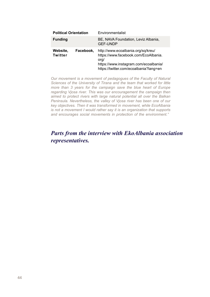| <b>Political Orientation</b> |           | Environmentalist                                                                                                                                                      |
|------------------------------|-----------|-----------------------------------------------------------------------------------------------------------------------------------------------------------------------|
| <b>Funding</b>               |           | BE, NAVA Foundation, Leviz Albania,<br><b>GEF-UNDP</b>                                                                                                                |
| Website.<br>Twitter          | Facebook. | http://www.ecoalbania.org/sq/kreu/<br>https://www.facebook.com/EcoAlbania.<br>org/<br>https://www.instagram.com/ecoalbania/<br>https://twitter.com/ecoalbania?lang=en |

*Our movement is a movement of pedagogues of the Faculty of Natural Sciences of the University of Tirana and the team that worked for little more than 3 years for the campaign save the blue heart of Europe regarding Vjosa river. This was our encouragement the campaign then aimed to protect rivers with large natural potential all over the Balkan Peninsula. Nevertheless, the valley of Vjosa river has been one of our key objectives. Then it was transformed in movement, while EcoAlbania is not a movement I would rather say it is an organization that supports and encourages social movements in protection of the environment."*

## *Parts from the interview with EkoAlbania association representatives.*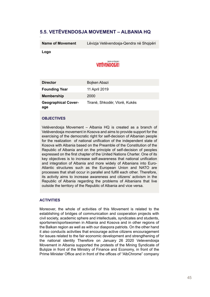## <span id="page-44-0"></span>**5.5. Vetëvendosja Movement – Albania HQ**

**Name of Movement** Lëvizja Vetëvendosja-Qendra në Shqipëri

**Logo**

## **VETEVENDOSJE!**

| <b>Director</b>                   | Bojken Abazi                  |
|-----------------------------------|-------------------------------|
| <b>Founding Year</b>              | 11 April 2019                 |
| Membership                        | 2000                          |
| <b>Geographical Cover-</b><br>age | Tiranë, Shkodër, Vlorë, Kukës |

#### **Objectives**

Vetëvendosja Movement – Albania HQ is created as a branch of Vetëvendosja movement in Kosova and aims to provide support for the exercising of the democratic right for self-decision of Albanian people for the realization of national unification of the independent state of Kosova with Albania based on the Preamble of the Constitution of the Republic of Albania and on the principle of self-decision of peoples expressed on the first chapter of the United Nations Charter. One of its key objectives is to increase self-awareness that national unification and integration of Albania and more widely of Albanians into Euro-Atlantic structures such as the European Union and NATO are processes that shall occur in parallel and fulfill each other. Therefore, its activity aims to increase awareness and citizens' activism in the Republic of Albania regarding the problems of Albanians that live outside the territory of the Republic of Albania and vice versa.

#### **ACTIVITIES**

Moreover, the whole of activities of this Movement is related to the establishing of bridges of communication and cooperation projects with civil society, academic sphere and intellectuals, syndicates and students, sportsmen/sportswomen in Albania and Kosova and in other regions of the Balkan region as well as with our diaspora patriots. On the other hand it also conducts activities that encourage active citizens encouragement for issues related to the fair economic development and strengthening of the national identity Therefore on January 26 2020 Vetevendosja Movement in Albania supported the protests of the Mining Syndicate of Bulqize in front of the Ministry of Finance and Economy, in front of the Prime Minister Office and in front of the offices of "AlbChrome" company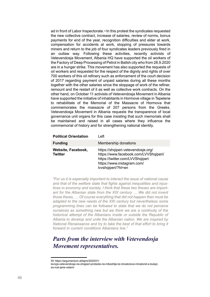ad in front of Labor Inspectorate.<sup>50</sup> In this protest the syndicates requested the new collective contract, increase of salaries, review of norms, bonus payments for end of the year, recognition difficulties and elder at work, compensation for accidents at work, stopping of pressures towards miners and return to the job of four syndicates leaders previously fired in an outlaw way. Following these activities, recently activists of Vetevendosja Movement, Albania HQ have supported the oil workers of the Factory of Deep Processing of Petrol in Ballsh city who from 28.9.2020 are in a hunger strike. This movement has also supported the requests of oil workers and requested for the respect of the dignity and rights of over 700 workers of this oil refinery such as enforcement of the court decision of 2017 regarding payment of unpaid salaries during all these months together with the other salaries since the stoppage of work of the refiner, remount and the restart of it as well as collective work contracts. On the other hand, on October 11 activists of Vetevendosja Movement in Albania have supported the initiative of inhabitants in Hormove village in Tepelene to rehabilitate of the Memorial of the Massacre of Hormova that commemorates the massacre of 207 persons from the Greeks. Vetevendosja Movement in Albania requests the transparence of local governance unit organs for this case insisting that such memorials shall be maintained and raised in all cases where they influence the commemorial of history and for strengthening national identity.

| <b>Political Orientation</b>         | I eft                                                                                                                                                              |
|--------------------------------------|--------------------------------------------------------------------------------------------------------------------------------------------------------------------|
| <b>Funding</b>                       | Membership donations                                                                                                                                               |
| Website, Facebook,<br><b>Twitter</b> | https://shqiperi.vetevendosje.org/<br>https://www.facebook.com/LVVShqiperi/<br>https://twitter.com/LVVShqiperi<br>https://www.instagram.com/<br>Ivvshqiperi/?hl=en |

*"For us it is especially important to interact the issue of national cause and that of the welfare state that fights against inequalities and injustices in economy and society. I think that these two theses are important for the Albanian state from the XIX century … We did not invent those thesis, … Of course everything that did not happen then must be adapted to the new needs of the XXI century but nevertheless some programming lines can be followed to state that we do not perceive ourselves as something new but we think we are a continuity of the historical attempt of the Albanians inside or outside the Republic of Albania to develop and unite the Albanian nation. We are inspired by National Renaissance and try to take the best of that effort to bring it forward in current conditions Albanians live."*

## *Parts from the interview with Vetevendosja Movement representatives.*

<sup>50</sup> https://argumentum.al/lajmi/2020/01/

levizja-vetevendosje-ne-shqiperi-proteste-ne-mbeshtje-te-minatoreve-minatoret-e-bulqizes-nuk-jane-vetem/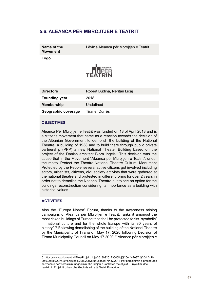## <span id="page-46-0"></span>**5.6. Aleanca për Mbrojtjen e Teatrit**

**Name of the Movement**

Lëvizia Aleanca për Mbroitien e Teatrit

**Logo**



| <b>Directors</b>     | Robert Budina, Neritan Licaj |
|----------------------|------------------------------|
| <b>Founding year</b> | 2018                         |
| Membership           | Undefined                    |
| Geographic coverage  | Tiranë, Durrës               |

#### **Objectives**

Aleanca Për Mbrojtjen e Teatrit was funded on 18 of April 2018 and is a citizens movement that came as a reaction towards the decision of the Albanian Government to demolish the building of the National Theatre, a building of 1938 and to build there through public private partnership (PPP) a new National Theater Building based on the project of the Danish architect Bjorn Ingels.<sup>51</sup> This decision was the cause that in the Movement "Aleanca për Mbrojtjen e Teatrit", under the motto 'Protect the Theatre-National Theatre Cultural Monument Protected by the People' several active citizens got involved including actors, urbanists, citizens, civil society activists that were gathered at the national theatre and protested in different forms for over 2 years in order not to demolish the National Theatre but to see an option for the buildings reconstruction considering its importance as a building with historical values.

#### **ACTIVITIES**

Also the "Europa Nostra" Forum, thanks to the awareness raising campaigns of Aleanca për Mbrojtjen e Teatrit, ranks it amongst the most risked buildings of Europe that shall be protected for its "symbolic" in national culture and for the whole Europe with its 80 years of history".52 Following demolishing of the building of the National Theatre by the Municipality of Tirana on May 17, 2020 following Decision of Tirana Municipality Council on May 17 2020,<sup>53</sup> Aleanca për Mbrojtjen e

<sup>51</sup>https://www.parlament.al/Files/ProjektLigje/20180926123505ligj%20nr,%2037,%20dt.%20 20.9.2018%20I%20rishikuar,%20i%20rivotuar.pdfLigj Nr 37/2018 Për përcaktimin e procedurës së vecantë për vlerësimin, negocimin dhe lidhjen e kontratës me objekt ``Projektimi dhe realizimi i Projektit Urban dhe Godinës së re të Teatrit Kombëtar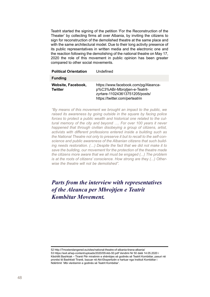Teatrit started the signing of the petition 'For the Reconstruction of the Theater' by collecting firms all over Albania, by inviting the citizens to sign for reconstruction of the demolished theatre at the same place and with the same architectural model. Due to their long activity presence of its public representatives in written media and the electronic one and the reaction following the demolishing of the national theatre on May 17, 2020 the role of this movement in public opinion has been greater compared to other social movements.

| <b>Political Orientation</b>  | Undefined                                                                                                                                 |
|-------------------------------|-------------------------------------------------------------------------------------------------------------------------------------------|
| <b>Funding</b>                |                                                                                                                                           |
| Website, Facebook,<br>Twitter | https://www.facebook.com/pg/Aleanca-<br>p%C3%ABr-Mbroitien-e-Teatrit-<br>zyrtare-110243613751205/posts/<br>https://twitter.com/perteatrin |

*"By means of this movement we brought an impact to the public, we raised its awareness by going outside in the square by facing police forces to protect a public wealth and historical one related to the cultural memory of the city and beyond …. For over 100 years it never happened that through civilian disobeying a group of citizens, artist, activists with different professions entered inside a building such as the National Theatre not only to preserve it but to recall to the self-conscience and public awareness of the Albanian citizens that such building needs restoration. (…) Despite the fact that we did not make it to save the building, our movement for the protection of the theatre made the citizens more aware that we all must be engaged (...) The problem is at the roots of citizens' conscience. How strong are they (...) Otherwise the theatre will not be demolished".* 

## *Parts from the interview with representatives of the Aleanca per Mbrojtjen e Teatrit Kombëtar Movement.*

<sup>52</sup> http://7mostendangered.eu/sites/national-theatre-of-albania-tirana-albania/ 53 https://exit.al/wp-content/uploads/2020/05/vkb-50.pdf Vendimi Nr 50 datë 14.05.2020 i Këshillit Bashkiak – Tiranë Për miratimin e shëmbjes së godinës së Teatrit Kombëtar, pasuri në pronësi të Bashkisë Tiranë, bazuar në Akt-Ekspertizën e hartuar nga Instituti Kombëtar i Ndërtimit `Mbi vlerësimin e godinës së Teatrit Kombëtar'.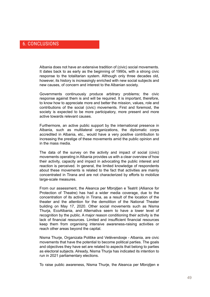## <span id="page-48-0"></span>6. Conclusions

Albania does not have an extensive tradition of (civic) social movements. It dates back to as early as the beginning of 1990s, with a strong civic response to the totalitarian system. Although only three decades old, however, its history is increasingly enriched with new social subjects and new causes, of concern and interest to the Albanian society.

Governments continuously produce arbitrary problems; the civic response against them is and will be required. It is important, therefore, to know how to appreciate more and better the mission, values, role and contributions of the social (civic) movements. First and foremost, the society is expected to be more participatory, more present and more active towards relevant causes.

Furthermore, an active public support by the international presence in Albania, such as multilateral organizations, the diplomatic corps accredited in Albania, etc., would have a very positive contribution to increasing the prestige of these movements amid the public opinion and in the mass media.

The data of the survey on the activity and impact of social (civic) movements operating in Albania provides us with a clear overview of how their activity, capacity and impact in advocating the public interest and reaction is perceived. In general, the limited knowledge of respondents about these movements is related to the fact that activities are mainly concentrated in Tirana and are not characterized by efforts to mobilize large-scale measures.

From our assessment, the Aleanca per Mbrojtjen e Teatrit (Alliance for Protection of Theatre) has had a wider media coverage, due to the concentration of its activity in Tirana, as a result of the location of the theater and the attention for the demolition of the National Theater building on May 17, 2020. Other social movements such as Nisma Thurja, EcoAlbania, and Alternativa seem to have a lower level of recognition by the public. A major reason conditioning their activity is the lack of financial resources. Limited and insufficient financial resources keep them from organising intensive awareness-raising activities or reach other areas beyond the capital.

Nisma Thurje, Organizata Politike and Vetëvendosje - Albania, are civic movements that have the potential to become political parties. The goals and objectives they have set are related to aspects that belong to parties as electoral subjects. Already, Nisma Thurja has indicated its intention to run in 2021 parliamentary elections.

To raise public awareness, Nisma Thurje, the Aleanca per Mbrojtjen e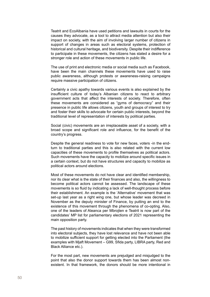Teatrit and EcoAlbania have used petitions and lawsuits in courts for the causes they advocate, as a tool to attract media attention but also their impact on society, with the aim of involving larger number of citizens in support of changes in areas such as electoral systems, protection of historical and cultural heritage, and biodiversity. Despite their indifference to participate in these movements, the citizens has stated a desire for a stronger role and action of these movements in public life.

The use of print and electronic media or social media such as Facebook, have been the main channels these movements have used to raise public awareness, although protests or awareness-raising campaigns require massive participation of citizens.

Certainly a civic apathy towards various events is also explained by the insufficient culture of today's Albanian citizens to react to arbitrary government acts that affect the interests of society. Therefore, often these movements are considered as "gyms of democracy" and their presence in public life allows citizens, youth and groups of interest to try and foster their skills to advocate for certain public interests, beyond the traditional level of representation of interests by political parties.

Social (civic) movements are an irreplaceable asset of a society, with a broad scope and significant role and influence, for the benefit of the country's progress.

Despite the general readiness to vote for new faces, voters -in the endturn to traditional parties and this is also related with the current low capacities of these movements to profile themselves as political actors. Such movements have the capacity to mobilize around specific issues in a certain context, but do not have structures and capacity to mobilize as political actors around elections.

Most of these movements do not have clear and identified membership, nor its clear what is the state of their finances and also, the willingness to become political actors cannot be assessed. The landscape of these movements is so fluid by indicating a lack of well-thought process before their establishment. An example is the 'Alternative' movement that was set-up last year as a right wing one, but whose leader was decreed in November as the deputy minister of Finance, by putting an end to the existence of this movement through the phenomena of co-opting. Also, one of the leaders of Aleanca per Mbrojten e Teatrit is now part of the candidates' MP list for parliamentary elections of 2021 representing the main opposition party.

The past history of movements indicates that when they were transformed into electoral subjects, they have lost relevance and have not been able to mobilize sufficient support for getting elected into the Parliament (the examples with Mjaft Movement – G99, Sfida party, LIBRA party, Red and Black Alliance etc.).

For the most part, new movements are prejudged and misjudged to the point that also the donor support towards them has been almost nonexistent. In that framework, the donors should be more intentional in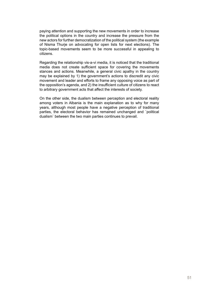paying attention and supporting the new movements in order to increase the political options in the country and increase the pressure from the new actors for further democratization of the political system (the example of Nisma Thurje on advocating for open lists for next elections). The topic-based movements seem to be more successful in appealing to citizens.

Regarding the relationship vis-a-vi media, it is noticed that the traditional media does not create sufficient space for covering the movements stances and actions. Meanwhile, a general civic apathy in the country may be explained by 1) the government's actions to discredit any civic movement and leader and efforts to frame any opposing voice as part of the opposition's agenda, and 2) the insufficient culture of citizens to react to arbitrary government acts that affect the interests of society.

On the other side, the dualism between perception and electoral reality among voters in Albania is the main explanation as to why for many years, although most people have a negative perception of traditional parties, the electoral behavior has remained unchanged and `political dualism` between the two main parties continues to prevail.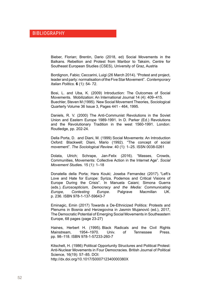<span id="page-51-0"></span>Bieber, Florian; Brentin, Dario (2018, ed) Social Movements in the Balkans. Rebellion and Protest from Maribor to Taksim, Centre for Southeast European Studies (CSES), University of Graz, Austria

Bordignon, Fabio; Ceccarini, Luigi (26 March 2014). "Protest and project, leader and party: normalisation of the Five Star Movement". *Contemporary Italian Politics*. **6** (1): 54- 72.

Bosi, L. and Uba, K. (2009) Introduction: The Outcomes of Social Movements. Mobilization: An International Journal 14 (4): 409–415. Buechler, Steven M (1995). New Social Movement Theories, Sociological Quarterly Volume 36 Issue 3, Pages 441 - 464, 1995.

Daniels, R. V. (2000) The Anti-Communist Revolutions in the Soviet Union and Eastern Europe 1989-1991. In D. Parker (Ed.) Revolutions and the Revolutionary Tradition in the west 1560-1991. London: Routledge, pp. 202-24.

Della Porta, D. and Diani, M. (1999) Social Movements: An Introduction Oxford: Blackwell; Diani, Mario (1992). "The concept of social movement". *The Sociological Review*. 40 (1): 1–25. [ISSN](https://en.wikipedia.org/wiki/ISSN_(identifier)) [0038-0261](https://www.worldcat.org/issn/0038-0261)

Dolata, Ulrich; Schrape, Jan-Felix (2016). "Masses, Crowds, Communities, Movements: Collective Action in the Internet Age". *[Social](https://en.wikipedia.org/wiki/Social_Movement_Studies)  [Movement Studie](https://en.wikipedia.org/wiki/Social_Movement_Studies)*s. 15 (1): 1–18

Donatella della Porta; Hara Kouki; Joseba Fernandez (2017). ["Left's](https://books.google.com/books?id=Gok0DgAAQBAJ&pg=PA236)  [Love and Hate for Europe: Syriza, Podemos and Critical Visions of](https://books.google.com/books?id=Gok0DgAAQBAJ&pg=PA236)  [Europe During the Crisis".](https://books.google.com/books?id=Gok0DgAAQBAJ&pg=PA236) In Manuela Caiani; Simona Guerra (eds.). *Euroscepticism, Democracy and the Media: Communicating Europe, Contesting Europe*. Palgrave Macmillan UK. p. 236. [ISBN](https://en.wikipedia.org/wiki/ISBN_(identifier)) [978-1-137-59643-7](https://en.wikipedia.org/wiki/Special:BookSources/978-1-137-59643-7)

Eminagic, Emin (2017) Towards a De-Ethnicized Politics: Protests and Plenums in Bosnia and Herzegovina in Jasmin Mujanović (ed.), 2017, The Democratic Potential of Emerging Social Movements in Southeastern Europe, 68 pages (page 23-27)

Haines, Herbert H. (1995). Black Radicals and the Civil Rights Mainstream, 1954–1970. Univ. of Tennessee Press. pp. 98–118. [ISBN](https://en.wikipedia.org/wiki/ISBN_(identifier)) [978-1-57233-260-7](https://en.wikipedia.org/wiki/Special:BookSources/978-1-57233-260-7)

Kitschelt, H. (1986) Political Opportunity Structures and Political Protest: Anti-Nuclear Movements in Four Democracies. British Journal of Political Science, 16(19): 57–85. DOI: http://dx.doi.org/10.1017/S000712340000380X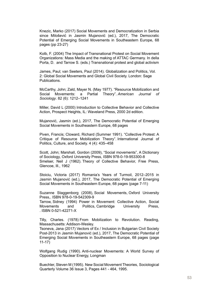Knezic, Marko (2017) Social Movements and Democratization in Serbia since Milošević in Jasmin Mujanović (ed.), 2017, The Democratic Potential of Emerging Social Movements in Southeastern Europe, 68 pages (pp 23-27)

Kolb, F. (2004) The Impact of Transnational Protest on Social Movement Organizations: Mass Media and the making of ATTAC Germany. In della Porta, D. and Tarrow S. (eds.) Transnational protest and global activism

[James, Paul;](https://en.wikipedia.org/wiki/Paul_James_(academic)) van Seeters, Paul (2014). [Globalization and Politics, Vol.](https://www.academia.edu/7305007)  [2: Global Social Movements and Global Civil Society](https://www.academia.edu/7305007). London: Sage Publications.

McCarthy, John; Zald, Mayer N. (May 1977). "Resource Mobilization and Social Movements: a Partial Theory". *American Journal of Sociology*. 82 (6): 1212–1241

Miller, David L (2000) Introduction to Collective Behavior and Collective Action, Prospect Heights, IL: Waveland Press, 2000 2d edition.

Mujanović, Jasmin (ed.), 2017, The Democratic Potential of Emerging Social Movements in Southeastern Europe, 68 pages

Piven, Francis; Cloward, Richard (Summer 1991). "Collective Protest: A Critique of Resource Mobilization Theory". International Journal of Politics, Culture, and Society. 4 (4): 435–458

Scott, John; Marshall, Gordon (2009), ["Social movements"](https://www.oxfordreference.com/view/10.1093/acref/9780199533008.001.0001/acref-9780199533008-e-2148), A Dictionary of Sociology, Oxford University Press, [ISBN](https://en.wikipedia.org/wiki/ISBN_(identifier)) [978-0-19-953300-8](https://en.wikipedia.org/wiki/Special:BookSources/978-0-19-953300-8) Smelser, Neil J (1962). Theory of Collective Behavior, Free Press, Glencoe, Ill., 1962

Stoiciu, Victoria (2017) Romania's Years of Turmoil, 2012–2015 in Jasmin Mujanović (ed.), 2017, The Democratic Potential of Emerging Social Movements in Southeastern Europe, 68 pages (page 7-11)

Suzanne Staggenborg (2008), Social Movements, [Oxford University](https://en.wikipedia.org/wiki/Oxford_University_Press)  [Press,](https://en.wikipedia.org/wiki/Oxford_University_Press). [ISBN](https://en.wikipedia.org/wiki/ISBN_(identifier)) [978-0-19-542309-9](https://en.wikipedia.org/wiki/Special:BookSources/978-0-19-542309-9)

[Tarrow](https://en.wikipedia.org/wiki/Sidney_Tarrow), Sidney (1994) Power in Movement: Collective Action, Social Movements and Politics, [Cambridge University Press,](https://en.wikipedia.org/wiki/Cambridge_University_Press) . [ISBN](https://en.wikipedia.org/wiki/ISBN_(identifier)) [0-521-42271-X](https://en.wikipedia.org/wiki/Special:BookSources/0-521-42271-X)

Tilly, Charles. (1978) From Mobilization to Revolution. Reading, Massachusetts: Addison-Wesley.

Tsoneva, Jana (2017) Vectors of Ex / Inclusion in Bulgarian Civil Society Post-2013 in Jasmin Mujanović (ed.), 2017, The Democratic Potential of Emerging Social Movements in Southeastern Europe, 68 pages (page 11-17)

Wolfgang Rudig (1990). Anti-nuclear Movements: A World Survey of Opposition to Nuclear Energy, Longman

Buechler, Steven M (1995). New Social Movement Theories, Sociological Quarterly Volume 36 Issue 3, Pages 441 - 464, 1995.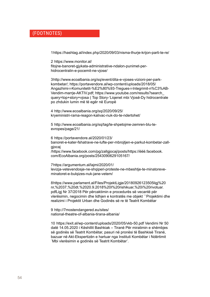## <span id="page-53-0"></span>(Footnotes)

1 <https://hashtag.al/index.php/2020/09/03/nisma-thurje-krijon-parti-te-re/>

2  [https://www.monitor.al/](https://www.monitor.al/fitojne-banoret-gjykata-administrative-ndalon-punimet-per-hidrocentralin-e-pocemit-ne-vjose/) [fitojne-banoret-gjykata-administrative-ndalon-punimet-per](https://www.monitor.al/fitojne-banoret-gjykata-administrative-ndalon-punimet-per-hidrocentralin-e-pocemit-ne-vjose/)[hidrocentralin-e-pocemit-ne-vjose/](https://www.monitor.al/fitojne-banoret-gjykata-administrative-ndalon-punimet-per-hidrocentralin-e-pocemit-ne-vjose/)

3 [http://www.ecoalbania.org/sq/event/dita-e-vjoses-vizioni-per-park](http://www.ecoalbania.org/sq/event/dita-e-vjoses-vizioni-per-park-kombetar/)[kombetar/](http://www.ecoalbania.org/sq/event/dita-e-vjoses-vizioni-per-park-kombetar/); [https://portavendore.al/wp-content/uploads/2018/05/](https://portavendore.al/wp-content/uploads/2018/05/Angazhimi-i-Komunitetit-%E2%80%93-Tregues-i-Integrimit-n%C3%AB-Vendim-marrje-AKTIV.pdf) [Angazhimi-i-Komunitetit-%E2%80%93-Tregues-i-Integrimit-n%C3%AB-](https://portavendore.al/wp-content/uploads/2018/05/Angazhimi-i-Komunitetit-%E2%80%93-Tregues-i-Integrimit-n%C3%AB-Vendim-marrje-AKTIV.pdf)[Vendim-marrje-AKTIV.pdf;](https://portavendore.al/wp-content/uploads/2018/05/Angazhimi-i-Komunitetit-%E2%80%93-Tregues-i-Integrimit-n%C3%AB-Vendim-marrje-AKTIV.pdf) https://www.youtube.com/results?search\_ query=top+story+vjosa ( Top Story-'Liqenet mbi Vjosë-Dy hidrocentrale po zhdukin lumin më të egër në Europë

4  [http://www.ecoalbania.org/sq/2020/09/25/](http://www.ecoalbania.org/sq/2020/09/25/kryeministri-rama-reagon-kalivac-nuk-do-te-ndertohet/) [kryeministri-rama-reagon-kalivac-nuk-do-te-ndertohet/](http://www.ecoalbania.org/sq/2020/09/25/kryeministri-rama-reagon-kalivac-nuk-do-te-ndertohet/)

[com/EcoAlbania.org/posts/2543090629105167/](https://www.facebook.com/EcoAlbania.org/posts/2543090629105167/)

5  [http://www.ecoalbania.org/sq/tag/te-shpetojme-zemren-blu-te](http://www.ecoalbania.org/sq/tag/te-shpetojme-zemren-blu-te-evropes/page/21/)[evropes/page/21/](http://www.ecoalbania.org/sq/tag/te-shpetojme-zemren-blu-te-evropes/page/21/)

6  [https://portavendore.al/2020/01/23/](https://portavendore.al/2020/01/23/banoret-e-kater-fshatrave-ne-lufte-per-mbrojtjen-e-parkut-kombetar-zall-gjocaj) [banoret-e-kater-fshatrave-ne-lufte-per-mbrojtjen-e-parkut-kombetar-zall](https://portavendore.al/2020/01/23/banoret-e-kater-fshatrave-ne-lufte-per-mbrojtjen-e-parkut-kombetar-zall-gjocaj)[gjocaj](https://portavendore.al/2020/01/23/banoret-e-kater-fshatrave-ne-lufte-per-mbrojtjen-e-parkut-kombetar-zall-gjocaj) [/https://www.facebook.com/pg/zallgjocaj/posts/](https://www.facebook.com/pg/zallgjocaj/posts/)[https://ëëë.facebook.](https://www.facebook.com/EcoAlbania.org/posts/2543090629105167/)

7 [https://argumentum.al/lajmi/2020/01/](https://argumentum.al/lajmi/2020/01/levizja-vetevendosje-ne-shqiperi-proteste-ne-mbeshtje-te-minatoreve-minatoret-e-bulqizes-nuk-jane-vetem/) [levizja-vetevendosje-ne-shqiperi-proteste-ne-mbeshtje-te-minatoreve](https://argumentum.al/lajmi/2020/01/levizja-vetevendosje-ne-shqiperi-proteste-ne-mbeshtje-te-minatoreve-minatoret-e-bulqizes-nuk-jane-vetem/)[minatoret-e-bulqizes-nuk-jane-vetem/](https://argumentum.al/lajmi/2020/01/levizja-vetevendosje-ne-shqiperi-proteste-ne-mbeshtje-te-minatoreve-minatoret-e-bulqizes-nuk-jane-vetem/)

8 [https://www.parlament.al/Files/ProjektLigje/20180926123505ligj%20](https://www.parlament.al/Files/ProjektLigje/20180926123505ligj%20nr,%2037,%20dt.%2020.9.2018%20I%20rishikuar,%20i%20rivotuar.pdf) [nr,%2037,%20dt.%2020.9.2018%20I%20rishikuar,%20i%20rivotuar.](https://www.parlament.al/Files/ProjektLigje/20180926123505ligj%20nr,%2037,%20dt.%2020.9.2018%20I%20rishikuar,%20i%20rivotuar.pdf) [pdf](https://www.parlament.al/Files/ProjektLigje/20180926123505ligj%20nr,%2037,%20dt.%2020.9.2018%20I%20rishikuar,%20i%20rivotuar.pdf)Ligj Nr 37/2018 Për përcaktimin e procedurës së vecantë për vlerësimin, negocimin dhe lidhjen e kontratës me objekt ``Projektimi dhe realizimi i Projektit Urban dhe Godinës së re të Teatrit Kombëtar

9  [http://7mostendangered.eu/sites/](http://7mostendangered.eu/sites/national-theatre-of-albania-tirana-albania/) [national-theatre-of-albania-tirana-albania/](http://7mostendangered.eu/sites/national-theatre-of-albania-tirana-albania/)

10 <https://exit.al/wp-content/uploads/2020/05/vkb-50.pdf>Vendimi Nr 50 datë 14.05.2020 i Këshillit Bashkiak – Tiranë Për miratimin e shëmbjes së godinës së Teatrit Kombëtar, pasuri në pronësi të Bashkisë Tiranë, bazuar në Akt-Ekspertizën e hartuar nga Instituti Kombëtar i Ndërtimit `Mbi vlerësimin e godinës së Teatrit Kombëtar'.